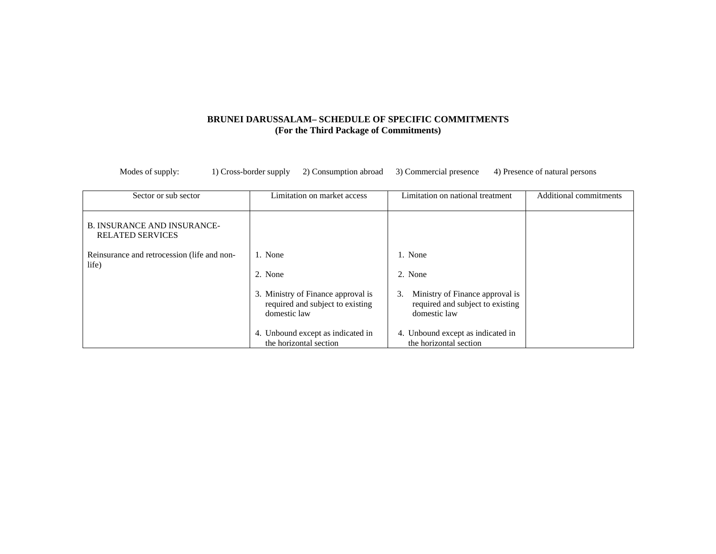#### **BRUNEI DARUSSALAM– SCHEDULE OF SPECIFIC COMMITMENTS (For the Third Package of Commitments)**

| Sector or sub sector                                          | Limitation on market access                                                            | Limitation on national treatment                                                          | Additional commitments |
|---------------------------------------------------------------|----------------------------------------------------------------------------------------|-------------------------------------------------------------------------------------------|------------------------|
| <b>B. INSURANCE AND INSURANCE-</b><br><b>RELATED SERVICES</b> |                                                                                        |                                                                                           |                        |
| Reinsurance and retrocession (life and non-                   | 1. None                                                                                | 1. None                                                                                   |                        |
| life)                                                         | 2. None                                                                                | 2. None                                                                                   |                        |
|                                                               | 3. Ministry of Finance approval is<br>required and subject to existing<br>domestic law | Ministry of Finance approval is<br>3.<br>required and subject to existing<br>domestic law |                        |
|                                                               | 4. Unbound except as indicated in<br>the horizontal section                            | 4. Unbound except as indicated in<br>the horizontal section                               |                        |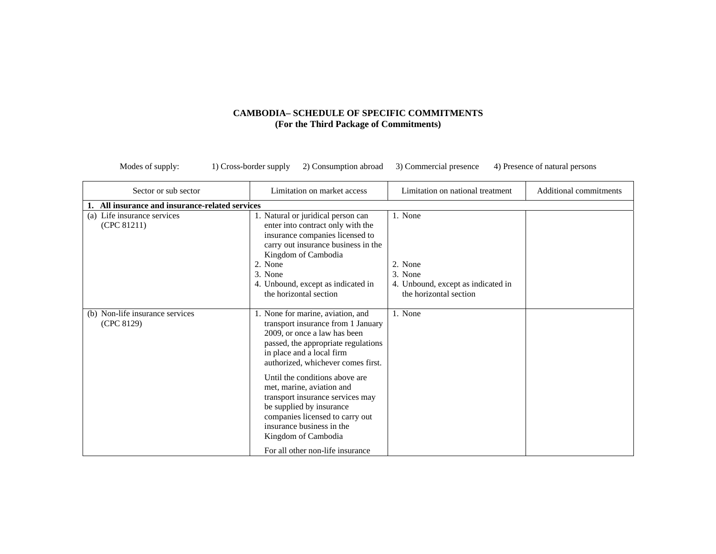| Sector or sub sector                          | Limitation on market access                                                                                                                                                                                                                                                                                                                                                                                                                                                 | Limitation on national treatment                                                              | Additional commitments |
|-----------------------------------------------|-----------------------------------------------------------------------------------------------------------------------------------------------------------------------------------------------------------------------------------------------------------------------------------------------------------------------------------------------------------------------------------------------------------------------------------------------------------------------------|-----------------------------------------------------------------------------------------------|------------------------|
| All insurance and insurance-related services  |                                                                                                                                                                                                                                                                                                                                                                                                                                                                             |                                                                                               |                        |
| (a) Life insurance services<br>(CPC 81211)    | 1. Natural or juridical person can<br>enter into contract only with the<br>insurance companies licensed to<br>carry out insurance business in the<br>Kingdom of Cambodia<br>2. None<br>3. None<br>4. Unbound, except as indicated in<br>the horizontal section                                                                                                                                                                                                              | 1. None<br>2. None<br>3. None<br>4. Unbound, except as indicated in<br>the horizontal section |                        |
| (b) Non-life insurance services<br>(CPC 8129) | 1. None for marine, aviation, and<br>transport insurance from 1 January<br>2009, or once a law has been<br>passed, the appropriate regulations<br>in place and a local firm<br>authorized, whichever comes first.<br>Until the conditions above are<br>met, marine, aviation and<br>transport insurance services may<br>be supplied by insurance<br>companies licensed to carry out<br>insurance business in the<br>Kingdom of Cambodia<br>For all other non-life insurance | 1. None                                                                                       |                        |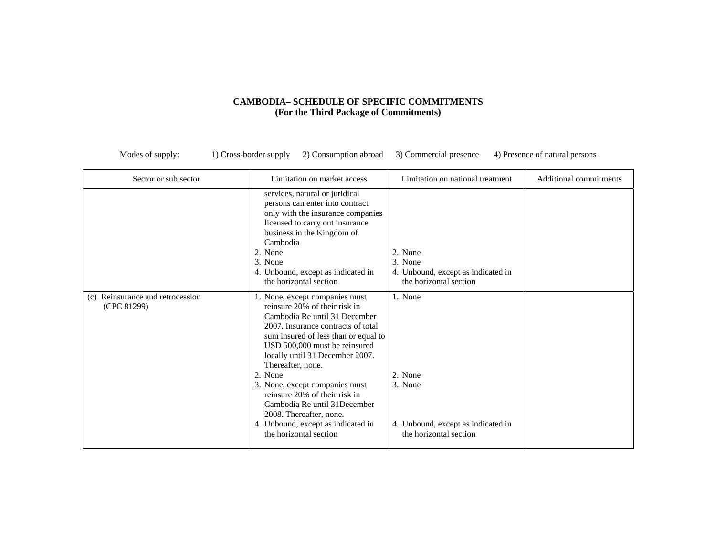| Sector or sub sector                               | Limitation on market access                                                                                                                                                                                                                                                                                                                                                                                                                                                       | Limitation on national treatment                                                              | Additional commitments |
|----------------------------------------------------|-----------------------------------------------------------------------------------------------------------------------------------------------------------------------------------------------------------------------------------------------------------------------------------------------------------------------------------------------------------------------------------------------------------------------------------------------------------------------------------|-----------------------------------------------------------------------------------------------|------------------------|
|                                                    | services, natural or juridical<br>persons can enter into contract<br>only with the insurance companies<br>licensed to carry out insurance<br>business in the Kingdom of<br>Cambodia<br>2. None<br>3. None<br>4. Unbound, except as indicated in<br>the horizontal section                                                                                                                                                                                                         | 2. None<br>3. None<br>4. Unbound, except as indicated in<br>the horizontal section            |                        |
| Reinsurance and retrocession<br>(c)<br>(CPC 81299) | 1. None, except companies must<br>reinsure 20% of their risk in<br>Cambodia Re until 31 December<br>2007. Insurance contracts of total<br>sum insured of less than or equal to<br>USD 500,000 must be reinsured<br>locally until 31 December 2007.<br>Thereafter, none.<br>2. None<br>3. None, except companies must<br>reinsure 20% of their risk in<br>Cambodia Re until 31 December<br>2008. Thereafter, none.<br>4. Unbound, except as indicated in<br>the horizontal section | 1. None<br>2. None<br>3. None<br>4. Unbound, except as indicated in<br>the horizontal section |                        |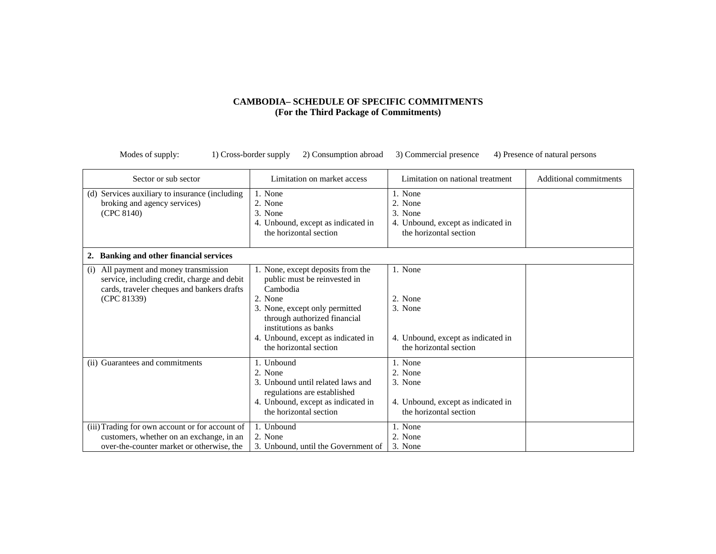| Sector or sub sector                                                                                                                                  | Limitation on market access                                                                                                                                                                                               | Limitation on national treatment                                                              | Additional commitments |
|-------------------------------------------------------------------------------------------------------------------------------------------------------|---------------------------------------------------------------------------------------------------------------------------------------------------------------------------------------------------------------------------|-----------------------------------------------------------------------------------------------|------------------------|
| (d) Services auxiliary to insurance (including<br>broking and agency services)<br>(CPC 8140)                                                          | 1. None<br>2. None<br>3. None<br>4. Unbound, except as indicated in<br>the horizontal section                                                                                                                             | 1. None<br>2. None<br>3. None<br>4. Unbound, except as indicated in<br>the horizontal section |                        |
| <b>Banking and other financial services</b><br>2.                                                                                                     |                                                                                                                                                                                                                           |                                                                                               |                        |
| All payment and money transmission<br>(i)<br>service, including credit, charge and debit<br>cards, traveler cheques and bankers drafts<br>(CPC 81339) | 1. None, except deposits from the<br>public must be reinvested in<br>Cambodia<br>2. None<br>3. None, except only permitted<br>through authorized financial<br>institutions as banks<br>4. Unbound, except as indicated in | 1. None<br>2. None<br>3. None<br>4. Unbound, except as indicated in                           |                        |
|                                                                                                                                                       | the horizontal section                                                                                                                                                                                                    | the horizontal section                                                                        |                        |
| (ii) Guarantees and commitments                                                                                                                       | 1. Unbound<br>2. None<br>3. Unbound until related laws and<br>regulations are established<br>4. Unbound, except as indicated in<br>the horizontal section                                                                 | 1. None<br>2. None<br>3. None<br>4. Unbound, except as indicated in<br>the horizontal section |                        |
| (iii) Trading for own account or for account of<br>customers, whether on an exchange, in an<br>over-the-counter market or otherwise, the              | 1. Unbound<br>2. None<br>3. Unbound, until the Government of                                                                                                                                                              | 1. None<br>2. None<br>3. None                                                                 |                        |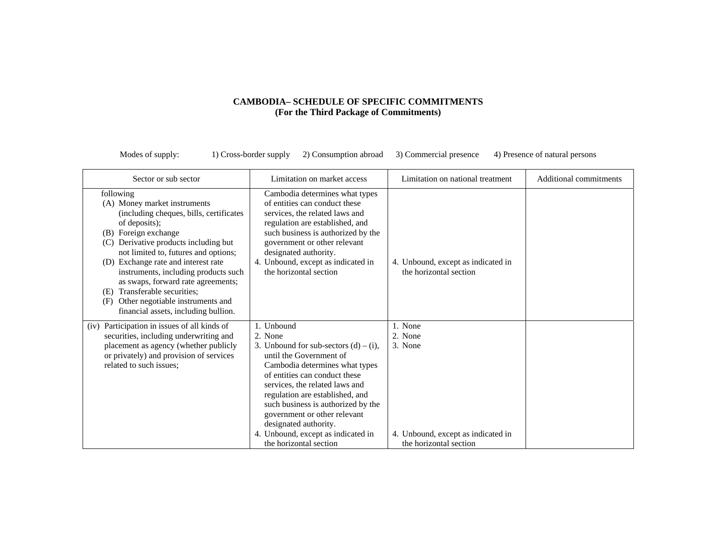| Sector or sub sector                                                                                                                                                                                                                                                                                                                                                                                                                                         | Limitation on market access                                                                                                                                                                                                                                                                                                                                                                         | Limitation on national treatment                                                              | Additional commitments |
|--------------------------------------------------------------------------------------------------------------------------------------------------------------------------------------------------------------------------------------------------------------------------------------------------------------------------------------------------------------------------------------------------------------------------------------------------------------|-----------------------------------------------------------------------------------------------------------------------------------------------------------------------------------------------------------------------------------------------------------------------------------------------------------------------------------------------------------------------------------------------------|-----------------------------------------------------------------------------------------------|------------------------|
| following<br>(A) Money market instruments<br>(including cheques, bills, certificates<br>of deposits);<br>(B) Foreign exchange<br>Derivative products including but<br>(C)<br>not limited to, futures and options;<br>(D) Exchange rate and interest rate<br>instruments, including products such<br>as swaps, forward rate agreements;<br>Transferable securities;<br>(E)<br>Other negotiable instruments and<br>(F)<br>financial assets, including bullion. | Cambodia determines what types<br>of entities can conduct these<br>services, the related laws and<br>regulation are established, and<br>such business is authorized by the<br>government or other relevant<br>designated authority.<br>4. Unbound, except as indicated in<br>the horizontal section                                                                                                 | 4. Unbound, except as indicated in<br>the horizontal section                                  |                        |
| (iv) Participation in issues of all kinds of<br>securities, including underwriting and<br>placement as agency (whether publicly<br>or privately) and provision of services<br>related to such issues;                                                                                                                                                                                                                                                        | 1. Unbound<br>2. None<br>3. Unbound for sub-sectors $(d) - (i)$ ,<br>until the Government of<br>Cambodia determines what types<br>of entities can conduct these<br>services, the related laws and<br>regulation are established, and<br>such business is authorized by the<br>government or other relevant<br>designated authority.<br>4. Unbound, except as indicated in<br>the horizontal section | 1. None<br>2. None<br>3. None<br>4. Unbound, except as indicated in<br>the horizontal section |                        |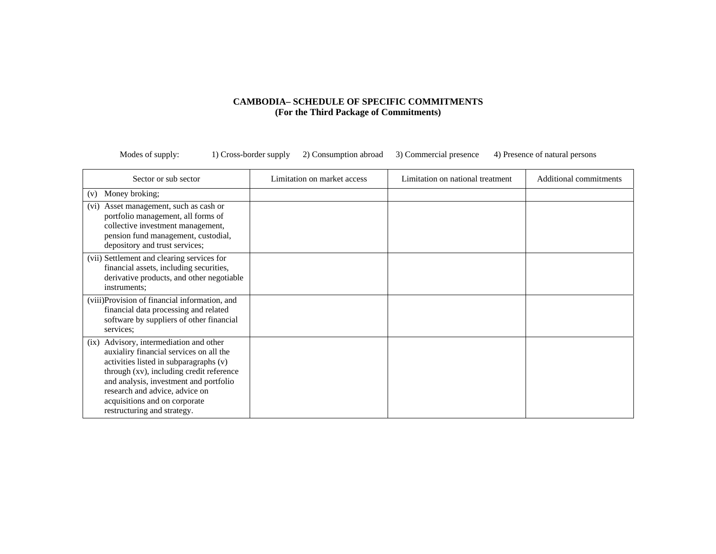| Sector or sub sector                                                                                                                                                                                                                                                                                                 | Limitation on market access | Limitation on national treatment | Additional commitments |
|----------------------------------------------------------------------------------------------------------------------------------------------------------------------------------------------------------------------------------------------------------------------------------------------------------------------|-----------------------------|----------------------------------|------------------------|
| Money broking;<br>(v)                                                                                                                                                                                                                                                                                                |                             |                                  |                        |
| Asset management, such as cash or<br>(v <sub>i</sub> )<br>portfolio management, all forms of<br>collective investment management,<br>pension fund management, custodial,<br>depository and trust services;                                                                                                           |                             |                                  |                        |
| (vii) Settlement and clearing services for<br>financial assets, including securities,<br>derivative products, and other negotiable<br>instruments;                                                                                                                                                                   |                             |                                  |                        |
| (viii) Provision of financial information, and<br>financial data processing and related<br>software by suppliers of other financial<br>services;                                                                                                                                                                     |                             |                                  |                        |
| (ix) Advisory, intermediation and other<br>auxialiry financial services on all the<br>activities listed in subparagraphs (v)<br>through (xv), including credit reference<br>and analysis, investment and portfolio<br>research and advice, advice on<br>acquisitions and on corporate<br>restructuring and strategy. |                             |                                  |                        |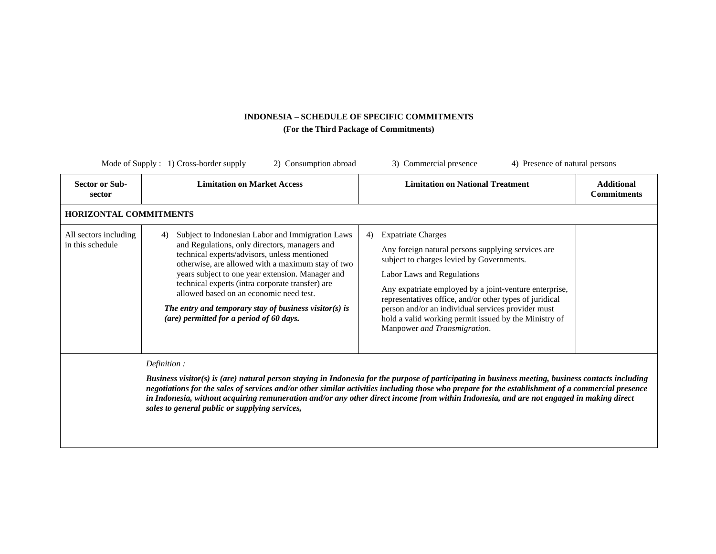| <b>Sector or Sub-</b><br>sector           | <b>Limitation on Market Access</b>                                                                                                                                                                                                                                                                                                                                                                                                                                    | <b>Limitation on National Treatment</b>                                                                                                                                                                                                                                                                                                                                                                                              | <b>Additional</b><br><b>Commitments</b> |
|-------------------------------------------|-----------------------------------------------------------------------------------------------------------------------------------------------------------------------------------------------------------------------------------------------------------------------------------------------------------------------------------------------------------------------------------------------------------------------------------------------------------------------|--------------------------------------------------------------------------------------------------------------------------------------------------------------------------------------------------------------------------------------------------------------------------------------------------------------------------------------------------------------------------------------------------------------------------------------|-----------------------------------------|
| <b>HORIZONTAL COMMITMENTS</b>             |                                                                                                                                                                                                                                                                                                                                                                                                                                                                       |                                                                                                                                                                                                                                                                                                                                                                                                                                      |                                         |
| All sectors including<br>in this schedule | Subject to Indonesian Labor and Immigration Laws<br>4)<br>and Regulations, only directors, managers and<br>technical experts/advisors, unless mentioned<br>otherwise, are allowed with a maximum stay of two<br>years subject to one year extension. Manager and<br>technical experts (intra corporate transfer) are<br>allowed based on an economic need test.<br>The entry and temporary stay of business visitor(s) is<br>(are) permitted for a period of 60 days. | <b>Expatriate Charges</b><br>4)<br>Any foreign natural persons supplying services are<br>subject to charges levied by Governments.<br>Labor Laws and Regulations<br>Any expatriate employed by a joint-venture enterprise,<br>representatives office, and/or other types of juridical<br>person and/or an individual services provider must<br>hold a valid working permit issued by the Ministry of<br>Manpower and Transmigration. |                                         |
|                                           | Definition:                                                                                                                                                                                                                                                                                                                                                                                                                                                           |                                                                                                                                                                                                                                                                                                                                                                                                                                      |                                         |

*negotiations for the sales of services and/or other similar activities including those who prepare for the establishment of a commercial presence in Indonesia, without acquiring remuneration and/or any other direct income from within Indonesia, and are not engaged in making direct sales to general public or supplying services,*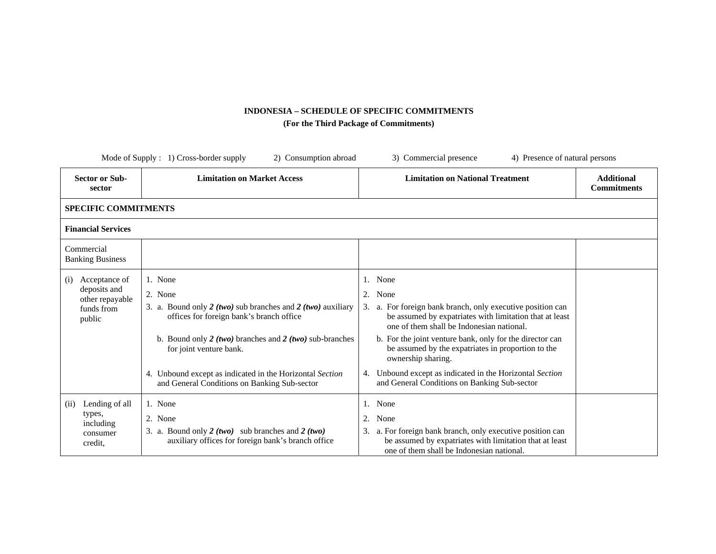|                                                                                 | Mode of Supply : 1) Cross-border supply<br>2) Consumption abroad                                                                                                                                                                                                                                                                    | 3) Commercial presence<br>4) Presence of natural persons                                                                                                                                                                                                                                                                                                                                                                                              |                                         |
|---------------------------------------------------------------------------------|-------------------------------------------------------------------------------------------------------------------------------------------------------------------------------------------------------------------------------------------------------------------------------------------------------------------------------------|-------------------------------------------------------------------------------------------------------------------------------------------------------------------------------------------------------------------------------------------------------------------------------------------------------------------------------------------------------------------------------------------------------------------------------------------------------|-----------------------------------------|
| <b>Sector or Sub-</b><br>sector                                                 | <b>Limitation on Market Access</b>                                                                                                                                                                                                                                                                                                  | <b>Limitation on National Treatment</b>                                                                                                                                                                                                                                                                                                                                                                                                               | <b>Additional</b><br><b>Commitments</b> |
| <b>SPECIFIC COMMITMENTS</b>                                                     |                                                                                                                                                                                                                                                                                                                                     |                                                                                                                                                                                                                                                                                                                                                                                                                                                       |                                         |
| <b>Financial Services</b>                                                       |                                                                                                                                                                                                                                                                                                                                     |                                                                                                                                                                                                                                                                                                                                                                                                                                                       |                                         |
| Commercial<br><b>Banking Business</b>                                           |                                                                                                                                                                                                                                                                                                                                     |                                                                                                                                                                                                                                                                                                                                                                                                                                                       |                                         |
| Acceptance of<br>(i)<br>deposits and<br>other repayable<br>funds from<br>public | 1. None<br>2. None<br>3. a. Bound only 2 (two) sub branches and 2 (two) auxiliary<br>offices for foreign bank's branch office<br>b. Bound only $2 (two)$ branches and $2 (two)$ sub-branches<br>for joint venture bank.<br>4. Unbound except as indicated in the Horizontal Section<br>and General Conditions on Banking Sub-sector | 1. None<br>2.<br>None<br>a. For foreign bank branch, only executive position can<br>3.<br>be assumed by expatriates with limitation that at least<br>one of them shall be Indonesian national.<br>b. For the joint venture bank, only for the director can<br>be assumed by the expatriates in proportion to the<br>ownership sharing.<br>Unbound except as indicated in the Horizontal Section<br>4.<br>and General Conditions on Banking Sub-sector |                                         |
| Lending of all<br>(ii)<br>types,<br>including<br>consumer<br>credit.            | 1. None<br>2. None<br>3. a. Bound only $2 (two)$ sub branches and $2 (two)$<br>auxiliary offices for foreign bank's branch office                                                                                                                                                                                                   | None<br>1.<br>2.<br>None<br>a. For foreign bank branch, only executive position can<br>3.<br>be assumed by expatriates with limitation that at least<br>one of them shall be Indonesian national.                                                                                                                                                                                                                                                     |                                         |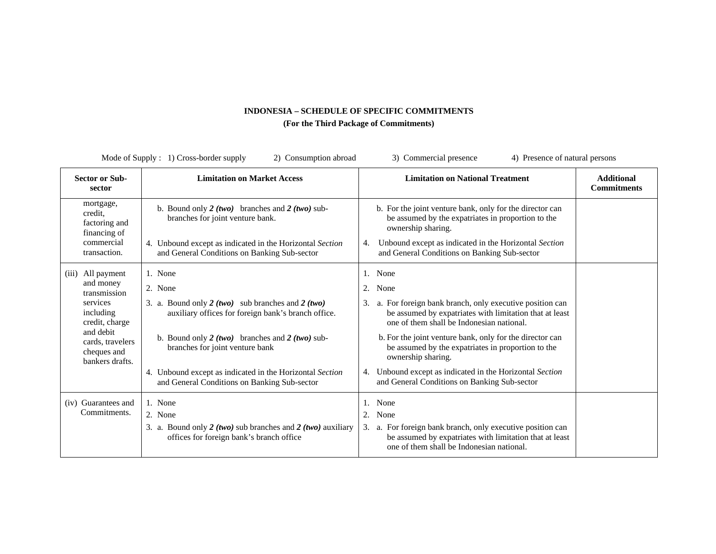| 3) Commercial presence<br>Mode of Supply : 1) Cross-border supply<br>4) Presence of natural persons<br>2) Consumption abroad                                    |                                                                                                                                                                                                                                                                                                                                          |                                                                                                                                                                                                                                                                                                                                                                                                                                                 |                                         |
|-----------------------------------------------------------------------------------------------------------------------------------------------------------------|------------------------------------------------------------------------------------------------------------------------------------------------------------------------------------------------------------------------------------------------------------------------------------------------------------------------------------------|-------------------------------------------------------------------------------------------------------------------------------------------------------------------------------------------------------------------------------------------------------------------------------------------------------------------------------------------------------------------------------------------------------------------------------------------------|-----------------------------------------|
| <b>Sector or Sub-</b><br>sector                                                                                                                                 | <b>Limitation on Market Access</b>                                                                                                                                                                                                                                                                                                       | <b>Limitation on National Treatment</b>                                                                                                                                                                                                                                                                                                                                                                                                         | <b>Additional</b><br><b>Commitments</b> |
| mortgage,<br>credit,<br>factoring and<br>financing of<br>commercial<br>transaction.                                                                             | b. Bound only $2(two)$ branches and $2(two)$ sub-<br>branches for joint venture bank.<br>4. Unbound except as indicated in the Horizontal Section<br>and General Conditions on Banking Sub-sector                                                                                                                                        | b. For the joint venture bank, only for the director can<br>be assumed by the expatriates in proportion to the<br>ownership sharing.<br>Unbound except as indicated in the Horizontal Section<br>4.<br>and General Conditions on Banking Sub-sector                                                                                                                                                                                             |                                         |
| All payment<br>(iii)<br>and money<br>transmission<br>services<br>including<br>credit, charge<br>and debit<br>cards, travelers<br>cheques and<br>bankers drafts. | 1. None<br>2. None<br>3. a. Bound only $2 (two)$ sub branches and $2 (two)$<br>auxiliary offices for foreign bank's branch office.<br>b. Bound only $2 (two)$ branches and $2 (two)$ sub-<br>branches for joint venture bank<br>4. Unbound except as indicated in the Horizontal Section<br>and General Conditions on Banking Sub-sector | 1. None<br>2.<br>None<br>a. For foreign bank branch, only executive position can<br>be assumed by expatriates with limitation that at least<br>one of them shall be Indonesian national.<br>b. For the joint venture bank, only for the director can<br>be assumed by the expatriates in proportion to the<br>ownership sharing.<br>Unbound except as indicated in the Horizontal Section<br>4.<br>and General Conditions on Banking Sub-sector |                                         |
| (iv) Guarantees and<br>Commitments.                                                                                                                             | 1. None<br>2. None<br>3. a. Bound only $2 (two)$ sub branches and $2 (two)$ auxiliary<br>offices for foreign bank's branch office                                                                                                                                                                                                        | 1. None<br>None<br>2.<br>3. a. For foreign bank branch, only executive position can<br>be assumed by expatriates with limitation that at least<br>one of them shall be Indonesian national.                                                                                                                                                                                                                                                     |                                         |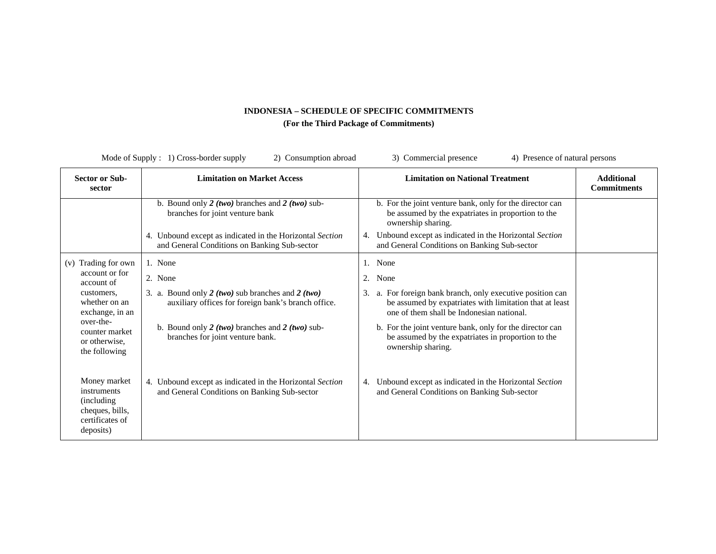|                                                                                               | Mode of Supply : 1) Cross-border supply<br>2) Consumption abroad                                             | 3) Commercial presence<br>4) Presence of natural persons                                                                                                              |                                         |
|-----------------------------------------------------------------------------------------------|--------------------------------------------------------------------------------------------------------------|-----------------------------------------------------------------------------------------------------------------------------------------------------------------------|-----------------------------------------|
| <b>Sector or Sub-</b><br>sector                                                               | <b>Limitation on Market Access</b>                                                                           | <b>Limitation on National Treatment</b>                                                                                                                               | <b>Additional</b><br><b>Commitments</b> |
|                                                                                               | b. Bound only 2 (two) branches and 2 (two) sub-<br>branches for joint venture bank                           | b. For the joint venture bank, only for the director can<br>be assumed by the expatriates in proportion to the<br>ownership sharing.                                  |                                         |
|                                                                                               | 4. Unbound except as indicated in the Horizontal Section<br>and General Conditions on Banking Sub-sector     | Unbound except as indicated in the Horizontal Section<br>4.<br>and General Conditions on Banking Sub-sector                                                           |                                         |
| (v) Trading for own                                                                           | 1. None                                                                                                      | None<br>1.                                                                                                                                                            |                                         |
| account or for<br>account of                                                                  | 2. None                                                                                                      | 2.<br>None                                                                                                                                                            |                                         |
| customers,<br>whether on an<br>exchange, in an                                                | 3. a. Bound only $2 (two)$ sub branches and $2 (two)$<br>auxiliary offices for foreign bank's branch office. | a. For foreign bank branch, only executive position can<br>3.<br>be assumed by expatriates with limitation that at least<br>one of them shall be Indonesian national. |                                         |
| over-the-<br>counter market<br>or otherwise,<br>the following                                 | b. Bound only $2 (two)$ branches and $2 (two)$ sub-<br>branches for joint venture bank.                      | b. For the joint venture bank, only for the director can<br>be assumed by the expatriates in proportion to the<br>ownership sharing.                                  |                                         |
| Money market<br>instruments<br>(including)<br>cheques, bills,<br>certificates of<br>deposits) | 4. Unbound except as indicated in the Horizontal Section<br>and General Conditions on Banking Sub-sector     | Unbound except as indicated in the Horizontal Section<br>4.<br>and General Conditions on Banking Sub-sector                                                           |                                         |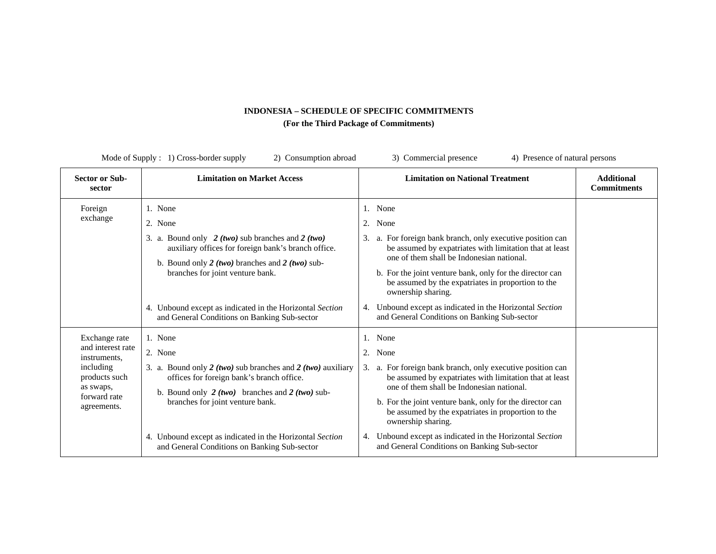| Mode of Supply : 1) Cross-border supply<br>2) Consumption abroad<br>3) Commercial presence<br>4) Presence of natural persons |                                                                                                                                                                                                                                                                                                                                       |                                                                                                                                                                                                                                                                                                                                                                                                                                                    |                                         |
|------------------------------------------------------------------------------------------------------------------------------|---------------------------------------------------------------------------------------------------------------------------------------------------------------------------------------------------------------------------------------------------------------------------------------------------------------------------------------|----------------------------------------------------------------------------------------------------------------------------------------------------------------------------------------------------------------------------------------------------------------------------------------------------------------------------------------------------------------------------------------------------------------------------------------------------|-----------------------------------------|
| <b>Sector or Sub-</b><br>sector                                                                                              | <b>Limitation on Market Access</b>                                                                                                                                                                                                                                                                                                    | <b>Limitation on National Treatment</b>                                                                                                                                                                                                                                                                                                                                                                                                            | <b>Additional</b><br><b>Commitments</b> |
| Foreign<br>exchange                                                                                                          | 1. None<br>2. None<br>3. a. Bound only 2 (two) sub branches and 2 (two)<br>auxiliary offices for foreign bank's branch office.<br>b. Bound only $2 (two)$ branches and $2 (two)$ sub-<br>branches for joint venture bank.<br>4. Unbound except as indicated in the Horizontal Section<br>and General Conditions on Banking Sub-sector | 1. None<br>2. None<br>a. For foreign bank branch, only executive position can<br>3.<br>be assumed by expatriates with limitation that at least<br>one of them shall be Indonesian national.<br>b. For the joint venture bank, only for the director can<br>be assumed by the expatriates in proportion to the<br>ownership sharing.<br>Unbound except as indicated in the Horizontal Section<br>4.<br>and General Conditions on Banking Sub-sector |                                         |
| Exchange rate<br>and interest rate<br>instruments.<br>including<br>products such<br>as swaps,<br>forward rate<br>agreements. | 1. None<br>2. None<br>3. a. Bound only 2 (two) sub branches and 2 (two) auxiliary<br>offices for foreign bank's branch office.<br>b. Bound only $2(two)$ branches and $2(two)$ sub-<br>branches for joint venture bank.                                                                                                               | <b>None</b><br>2. None<br>3. a. For foreign bank branch, only executive position can<br>be assumed by expatriates with limitation that at least<br>one of them shall be Indonesian national.<br>b. For the joint venture bank, only for the director can<br>be assumed by the expatriates in proportion to the<br>ownership sharing.                                                                                                               |                                         |
|                                                                                                                              | 4. Unbound except as indicated in the Horizontal Section<br>and General Conditions on Banking Sub-sector                                                                                                                                                                                                                              | Unbound except as indicated in the Horizontal Section<br>4.<br>and General Conditions on Banking Sub-sector                                                                                                                                                                                                                                                                                                                                        |                                         |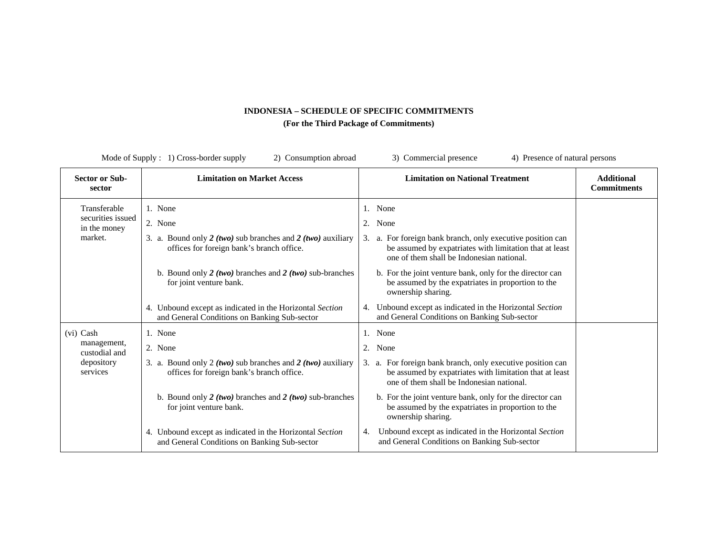|                                                              | Mode of Supply $: 1)$ Cross-border supply<br>2) Consumption abroad                                                                 | 3) Commercial presence<br>4) Presence of natural persons                                                                                                                                    |                                         |
|--------------------------------------------------------------|------------------------------------------------------------------------------------------------------------------------------------|---------------------------------------------------------------------------------------------------------------------------------------------------------------------------------------------|-----------------------------------------|
| <b>Sector or Sub-</b><br>sector                              | <b>Limitation on Market Access</b>                                                                                                 | <b>Limitation on National Treatment</b>                                                                                                                                                     | <b>Additional</b><br><b>Commitments</b> |
| Transferable<br>securities issued<br>in the money<br>market. | 1. None<br>2. None<br>3. a. Bound only $2 (two)$ sub branches and $2 (two)$ auxiliary<br>offices for foreign bank's branch office. | 1. None<br>2.<br>None<br>3. a. For foreign bank branch, only executive position can<br>be assumed by expatriates with limitation that at least<br>one of them shall be Indonesian national. |                                         |
|                                                              | b. Bound only $2 (two)$ branches and $2 (two)$ sub-branches<br>for joint venture bank.                                             | b. For the joint venture bank, only for the director can<br>be assumed by the expatriates in proportion to the<br>ownership sharing.                                                        |                                         |
|                                                              | 4. Unbound except as indicated in the Horizontal Section<br>and General Conditions on Banking Sub-sector                           | Unbound except as indicated in the Horizontal Section<br>4.<br>and General Conditions on Banking Sub-sector                                                                                 |                                         |
| (vi) Cash                                                    | 1. None                                                                                                                            | 1. None                                                                                                                                                                                     |                                         |
| management,<br>custodial and                                 | 2. None                                                                                                                            | 2. None                                                                                                                                                                                     |                                         |
| depository<br>services                                       | 3. a. Bound only 2 (two) sub branches and 2 (two) auxiliary<br>offices for foreign bank's branch office.                           | 3. a. For foreign bank branch, only executive position can<br>be assumed by expatriates with limitation that at least<br>one of them shall be Indonesian national.                          |                                         |
|                                                              | b. Bound only $2 (two)$ branches and $2 (two)$ sub-branches<br>for joint venture bank.                                             | b. For the joint venture bank, only for the director can<br>be assumed by the expatriates in proportion to the<br>ownership sharing.                                                        |                                         |
|                                                              | 4. Unbound except as indicated in the Horizontal Section<br>and General Conditions on Banking Sub-sector                           | Unbound except as indicated in the Horizontal Section<br>4.<br>and General Conditions on Banking Sub-sector                                                                                 |                                         |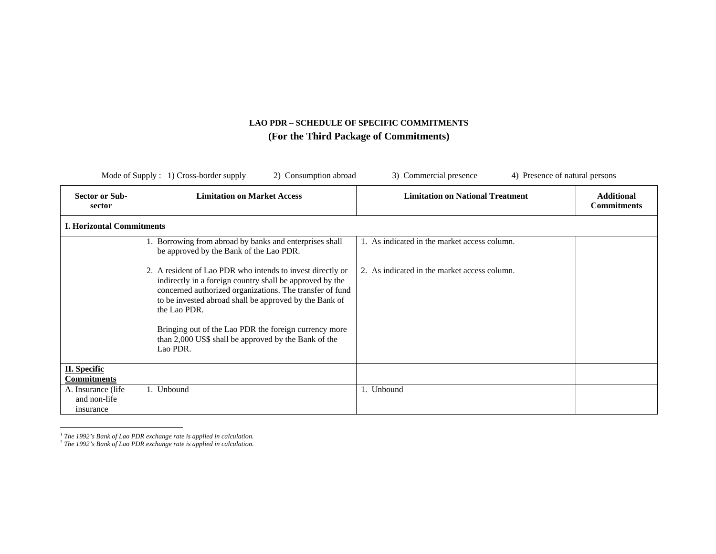|                                                  | Mode of Supply $: 1)$ Cross-border supply<br>2) Consumption abroad<br>4) Presence of natural persons<br>3) Commercial presence                                                                                                                                                                                                                                                            |                                              |                                         |  |  |
|--------------------------------------------------|-------------------------------------------------------------------------------------------------------------------------------------------------------------------------------------------------------------------------------------------------------------------------------------------------------------------------------------------------------------------------------------------|----------------------------------------------|-----------------------------------------|--|--|
| Sector or Sub-<br>sector                         | <b>Limitation on Market Access</b>                                                                                                                                                                                                                                                                                                                                                        | <b>Limitation on National Treatment</b>      | <b>Additional</b><br><b>Commitments</b> |  |  |
| <b>I. Horizontal Commitments</b>                 |                                                                                                                                                                                                                                                                                                                                                                                           |                                              |                                         |  |  |
|                                                  | Borrowing from abroad by banks and enterprises shall<br>be approved by the Bank of the Lao PDR.                                                                                                                                                                                                                                                                                           | 1. As indicated in the market access column. |                                         |  |  |
|                                                  | 2. A resident of Lao PDR who intends to invest directly or<br>indirectly in a foreign country shall be approved by the<br>concerned authorized organizations. The transfer of fund<br>to be invested abroad shall be approved by the Bank of<br>the Lao PDR.<br>Bringing out of the Lao PDR the foreign currency more<br>than 2,000 US\$ shall be approved by the Bank of the<br>Lao PDR. | 2. As indicated in the market access column. |                                         |  |  |
| <b>II.</b> Specific<br><b>Commitments</b>        |                                                                                                                                                                                                                                                                                                                                                                                           |                                              |                                         |  |  |
| A. Insurance (life)<br>and non-life<br>insurance | 1. Unbound                                                                                                                                                                                                                                                                                                                                                                                | 1. Unbound                                   |                                         |  |  |

<sup>&</sup>lt;sup>1</sup> The 1992's Bank of Lao PDR exchange rate is applied in calculation.<br><sup>2</sup> The 1992's Bank of Lao PDR exchange rate is applied in calculation.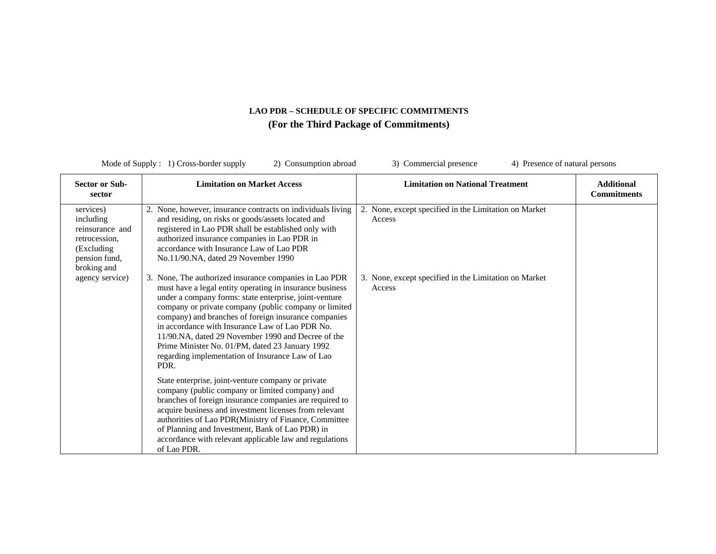| Mode of Supply $: 1)$ Cross-border supply<br>2) Consumption abroad<br>3) Commercial presence<br>4) Presence of natural persons |                                                                                                                                                                                                                                                                                                                                                                                                                                                                                                                       |                                                                 |                                         |
|--------------------------------------------------------------------------------------------------------------------------------|-----------------------------------------------------------------------------------------------------------------------------------------------------------------------------------------------------------------------------------------------------------------------------------------------------------------------------------------------------------------------------------------------------------------------------------------------------------------------------------------------------------------------|-----------------------------------------------------------------|-----------------------------------------|
| <b>Sector or Sub-</b><br>sector                                                                                                | <b>Limitation on Market Access</b>                                                                                                                                                                                                                                                                                                                                                                                                                                                                                    | <b>Limitation on National Treatment</b>                         | <b>Additional</b><br><b>Commitments</b> |
| services)<br>including<br>reinsurance and<br>retrocession,<br>(Excluding)<br>pension fund,<br>broking and                      | 2. None, however, insurance contracts on individuals living<br>and residing, on risks or goods/assets located and<br>registered in Lao PDR shall be established only with<br>authorized insurance companies in Lao PDR in<br>accordance with Insurance Law of Lao PDR<br>No.11/90.NA, dated 29 November 1990                                                                                                                                                                                                          | 2. None, except specified in the Limitation on Market<br>Access |                                         |
| agency service)                                                                                                                | 3. None, The authorized insurance companies in Lao PDR<br>must have a legal entity operating in insurance business<br>under a company forms: state enterprise, joint-venture<br>company or private company (public company or limited<br>company) and branches of foreign insurance companies<br>in accordance with Insurance Law of Lao PDR No.<br>11/90.NA, dated 29 November 1990 and Decree of the<br>Prime Minister No. 01/PM, dated 23 January 1992<br>regarding implementation of Insurance Law of Lao<br>PDR. | 3. None, except specified in the Limitation on Market<br>Access |                                         |
|                                                                                                                                | State enterprise, joint-venture company or private<br>company (public company or limited company) and<br>branches of foreign insurance companies are required to<br>acquire business and investment licenses from relevant<br>authorities of Lao PDR(Ministry of Finance, Committee<br>of Planning and Investment, Bank of Lao PDR) in<br>accordance with relevant applicable law and regulations<br>of Lao PDR.                                                                                                      |                                                                 |                                         |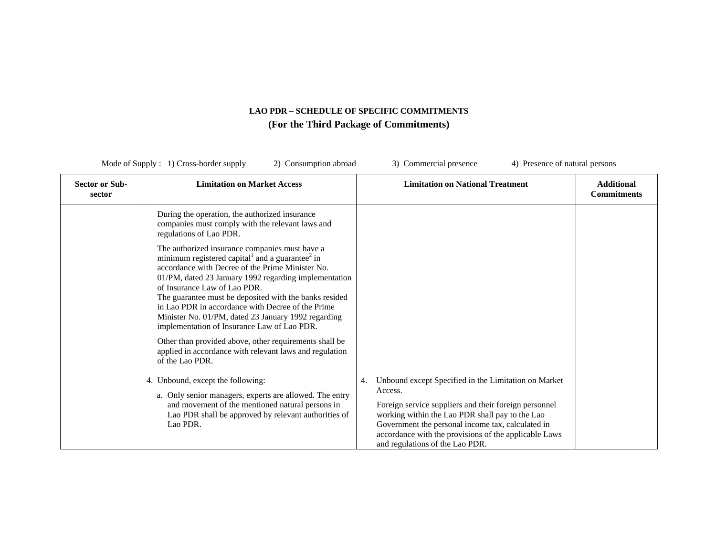| Mode of Supply $: 1)$ Cross-border supply<br>2) Consumption abroad |                                                                                                                                                                                                                                                                                                                                                                                                                                                                                                                                                                                                                                                                                                                                                                                                                                                                                                                                                                                              | 3) Commercial presence<br>4) Presence of natural persons                                                                                                                                                                                                                                                                           |                                         |
|--------------------------------------------------------------------|----------------------------------------------------------------------------------------------------------------------------------------------------------------------------------------------------------------------------------------------------------------------------------------------------------------------------------------------------------------------------------------------------------------------------------------------------------------------------------------------------------------------------------------------------------------------------------------------------------------------------------------------------------------------------------------------------------------------------------------------------------------------------------------------------------------------------------------------------------------------------------------------------------------------------------------------------------------------------------------------|------------------------------------------------------------------------------------------------------------------------------------------------------------------------------------------------------------------------------------------------------------------------------------------------------------------------------------|-----------------------------------------|
| <b>Sector or Sub-</b><br>sector                                    | <b>Limitation on Market Access</b>                                                                                                                                                                                                                                                                                                                                                                                                                                                                                                                                                                                                                                                                                                                                                                                                                                                                                                                                                           | <b>Limitation on National Treatment</b>                                                                                                                                                                                                                                                                                            | <b>Additional</b><br><b>Commitments</b> |
|                                                                    | During the operation, the authorized insurance<br>companies must comply with the relevant laws and<br>regulations of Lao PDR.<br>The authorized insurance companies must have a<br>minimum registered capital <sup>1</sup> and a guarantee <sup>2</sup> in<br>accordance with Decree of the Prime Minister No.<br>01/PM, dated 23 January 1992 regarding implementation<br>of Insurance Law of Lao PDR.<br>The guarantee must be deposited with the banks resided<br>in Lao PDR in accordance with Decree of the Prime<br>Minister No. 01/PM, dated 23 January 1992 regarding<br>implementation of Insurance Law of Lao PDR.<br>Other than provided above, other requirements shall be<br>applied in accordance with relevant laws and regulation<br>of the Lao PDR.<br>4. Unbound, except the following:<br>a. Only senior managers, experts are allowed. The entry<br>and movement of the mentioned natural persons in<br>Lao PDR shall be approved by relevant authorities of<br>Lao PDR. | Unbound except Specified in the Limitation on Market<br>4.<br>Access.<br>Foreign service suppliers and their foreign personnel<br>working within the Lao PDR shall pay to the Lao<br>Government the personal income tax, calculated in<br>accordance with the provisions of the applicable Laws<br>and regulations of the Lao PDR. |                                         |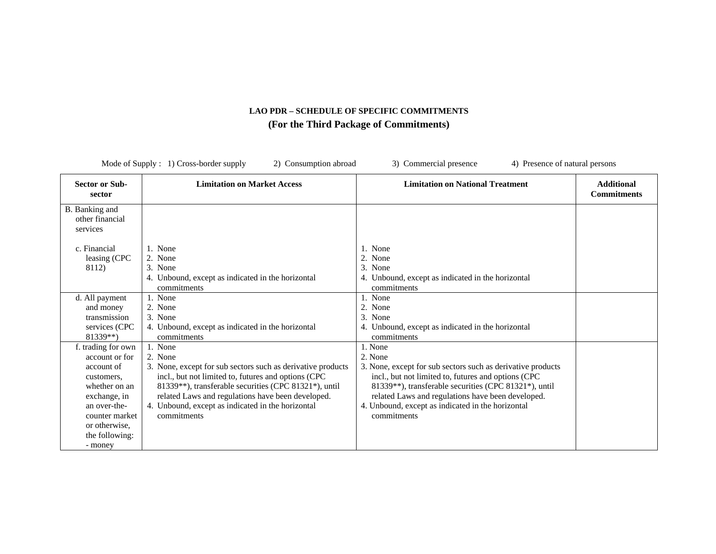| Mode of Supply : 1) Cross-border supply<br>3) Commercial presence<br>4) Presence of natural persons<br>2) Consumption abroad |                                                             |                                                             |                                         |
|------------------------------------------------------------------------------------------------------------------------------|-------------------------------------------------------------|-------------------------------------------------------------|-----------------------------------------|
| <b>Sector or Sub-</b><br>sector                                                                                              | <b>Limitation on Market Access</b>                          | <b>Limitation on National Treatment</b>                     | <b>Additional</b><br><b>Commitments</b> |
| B. Banking and<br>other financial<br>services                                                                                |                                                             |                                                             |                                         |
| c. Financial                                                                                                                 | 1. None                                                     | 1. None                                                     |                                         |
| leasing (CPC                                                                                                                 | 2. None                                                     | 2. None                                                     |                                         |
| 8112)                                                                                                                        | 3. None                                                     | 3. None                                                     |                                         |
|                                                                                                                              | 4. Unbound, except as indicated in the horizontal           | 4. Unbound, except as indicated in the horizontal           |                                         |
|                                                                                                                              | commitments                                                 | commitments                                                 |                                         |
| d. All payment                                                                                                               | 1. None                                                     | None                                                        |                                         |
| and money                                                                                                                    | 2. None                                                     | 2. None                                                     |                                         |
| transmission                                                                                                                 | 3. None                                                     | 3. None                                                     |                                         |
| services (CPC                                                                                                                | 4. Unbound, except as indicated in the horizontal           | 4. Unbound, except as indicated in the horizontal           |                                         |
| 81339**)                                                                                                                     | commitments                                                 | commitments                                                 |                                         |
| f. trading for own                                                                                                           | 1. None                                                     | 1. None                                                     |                                         |
| account or for                                                                                                               | 2. None                                                     | 2. None                                                     |                                         |
| account of                                                                                                                   | 3. None, except for sub sectors such as derivative products | 3. None, except for sub sectors such as derivative products |                                         |
| customers,                                                                                                                   | incl., but not limited to, futures and options (CPC         | incl., but not limited to, futures and options (CPC         |                                         |
| whether on an                                                                                                                | 81339**), transferable securities (CPC 81321*), until       | 81339**), transferable securities (CPC 81321*), until       |                                         |
| exchange, in                                                                                                                 | related Laws and regulations have been developed.           | related Laws and regulations have been developed.           |                                         |
| an over-the-                                                                                                                 | 4. Unbound, except as indicated in the horizontal           | 4. Unbound, except as indicated in the horizontal           |                                         |
| counter market                                                                                                               | commitments                                                 | commitments                                                 |                                         |
| or otherwise.                                                                                                                |                                                             |                                                             |                                         |
| the following:                                                                                                               |                                                             |                                                             |                                         |
| - money                                                                                                                      |                                                             |                                                             |                                         |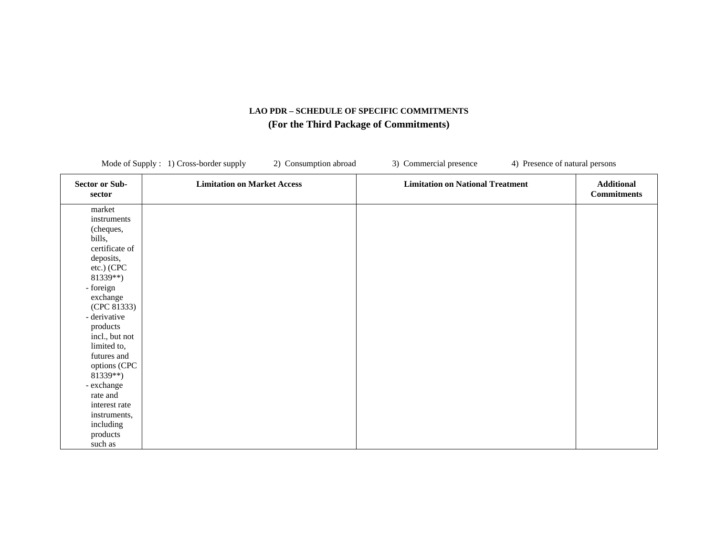|                                                                             | Mode of Supply : 1) Cross-border supply<br>2) Consumption abroad | 3) Commercial presence                  | 4) Presence of natural persons          |
|-----------------------------------------------------------------------------|------------------------------------------------------------------|-----------------------------------------|-----------------------------------------|
| <b>Sector or Sub-</b><br>sector                                             | <b>Limitation on Market Access</b>                               | <b>Limitation on National Treatment</b> | <b>Additional</b><br><b>Commitments</b> |
| market<br>instruments<br>(cheques,<br>bills,<br>certificate of<br>deposits, |                                                                  |                                         |                                         |
| etc.) (CPC<br>81339**)<br>- foreign                                         |                                                                  |                                         |                                         |
| exchange<br>(CPC 81333)<br>- derivative<br>products                         |                                                                  |                                         |                                         |
| incl., but not<br>limited to,<br>futures and                                |                                                                  |                                         |                                         |
| options (CPC<br>$81339**$<br>- exchange                                     |                                                                  |                                         |                                         |
| rate and<br>interest rate<br>instruments,                                   |                                                                  |                                         |                                         |
| including<br>products<br>such as                                            |                                                                  |                                         |                                         |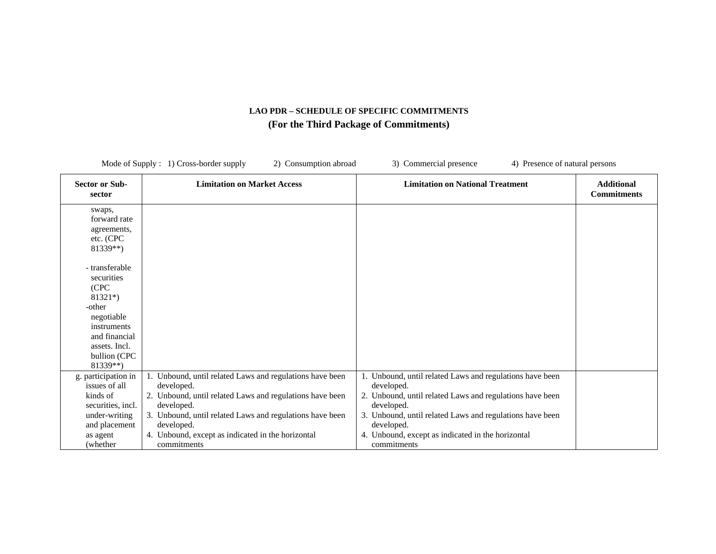| Mode of Supply : 1) Cross-border supply<br>2) Consumption abroad                                                                                       |                                                                                                                                                                                                                                                                                                | 3) Commercial presence<br>4) Presence of natural persons                                                                                                                                                                                                                                       |                                         |
|--------------------------------------------------------------------------------------------------------------------------------------------------------|------------------------------------------------------------------------------------------------------------------------------------------------------------------------------------------------------------------------------------------------------------------------------------------------|------------------------------------------------------------------------------------------------------------------------------------------------------------------------------------------------------------------------------------------------------------------------------------------------|-----------------------------------------|
| <b>Sector or Sub-</b><br>sector                                                                                                                        | <b>Limitation on Market Access</b>                                                                                                                                                                                                                                                             | <b>Limitation on National Treatment</b>                                                                                                                                                                                                                                                        | <b>Additional</b><br><b>Commitments</b> |
| swaps,<br>forward rate<br>agreements,<br>etc. (CPC<br>81339**)                                                                                         |                                                                                                                                                                                                                                                                                                |                                                                                                                                                                                                                                                                                                |                                         |
| - transferable<br>securities<br>(CPC<br>$81321*)$<br>-other<br>negotiable<br>instruments<br>and financial<br>assets. Incl.<br>bullion (CPC<br>81339**) |                                                                                                                                                                                                                                                                                                |                                                                                                                                                                                                                                                                                                |                                         |
| g. participation in<br>issues of all<br>kinds of<br>securities, incl.<br>under-writing<br>and placement<br>as agent<br>(whether)                       | 1. Unbound, until related Laws and regulations have been<br>developed.<br>2. Unbound, until related Laws and regulations have been<br>developed.<br>3. Unbound, until related Laws and regulations have been<br>developed.<br>4. Unbound, except as indicated in the horizontal<br>commitments | 1. Unbound, until related Laws and regulations have been<br>developed.<br>2. Unbound, until related Laws and regulations have been<br>developed.<br>3. Unbound, until related Laws and regulations have been<br>developed.<br>4. Unbound, except as indicated in the horizontal<br>commitments |                                         |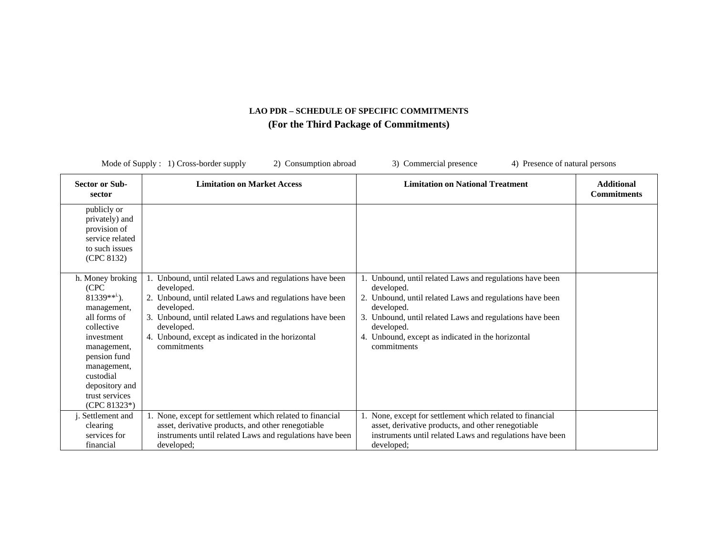| Mode of Supply : 1) Cross-border supply<br>3) Commercial presence<br>2) Consumption abroad<br>4) Presence of natural persons                                                                                             |                                                                                                                                                                                                                                                                                                |                                                                                                                                                                                                                                                                                             |                                         |
|--------------------------------------------------------------------------------------------------------------------------------------------------------------------------------------------------------------------------|------------------------------------------------------------------------------------------------------------------------------------------------------------------------------------------------------------------------------------------------------------------------------------------------|---------------------------------------------------------------------------------------------------------------------------------------------------------------------------------------------------------------------------------------------------------------------------------------------|-----------------------------------------|
| <b>Sector or Sub-</b><br>sector                                                                                                                                                                                          | <b>Limitation on Market Access</b>                                                                                                                                                                                                                                                             | <b>Limitation on National Treatment</b>                                                                                                                                                                                                                                                     | <b>Additional</b><br><b>Commitments</b> |
| publicly or<br>privately) and<br>provision of<br>service related<br>to such issues<br>(CPC 8132)                                                                                                                         |                                                                                                                                                                                                                                                                                                |                                                                                                                                                                                                                                                                                             |                                         |
| h. Money broking<br>(CPC)<br>$81339***^1$ ).<br>management,<br>all forms of<br>collective<br>investment<br>management,<br>pension fund<br>management,<br>custodial<br>depository and<br>trust services<br>$(CPC 81323*)$ | 1. Unbound, until related Laws and regulations have been<br>developed.<br>2. Unbound, until related Laws and regulations have been<br>developed.<br>3. Unbound, until related Laws and regulations have been<br>developed.<br>4. Unbound, except as indicated in the horizontal<br>commitments | Unbound, until related Laws and regulations have been<br>developed.<br>2. Unbound, until related Laws and regulations have been<br>developed.<br>3. Unbound, until related Laws and regulations have been<br>developed.<br>4. Unbound, except as indicated in the horizontal<br>commitments |                                         |
| j. Settlement and<br>clearing<br>services for<br>financial                                                                                                                                                               | 1. None, except for settlement which related to financial<br>asset, derivative products, and other renegotiable<br>instruments until related Laws and regulations have been<br>developed;                                                                                                      | 1. None, except for settlement which related to financial<br>asset, derivative products, and other renegotiable<br>instruments until related Laws and regulations have been<br>developed;                                                                                                   |                                         |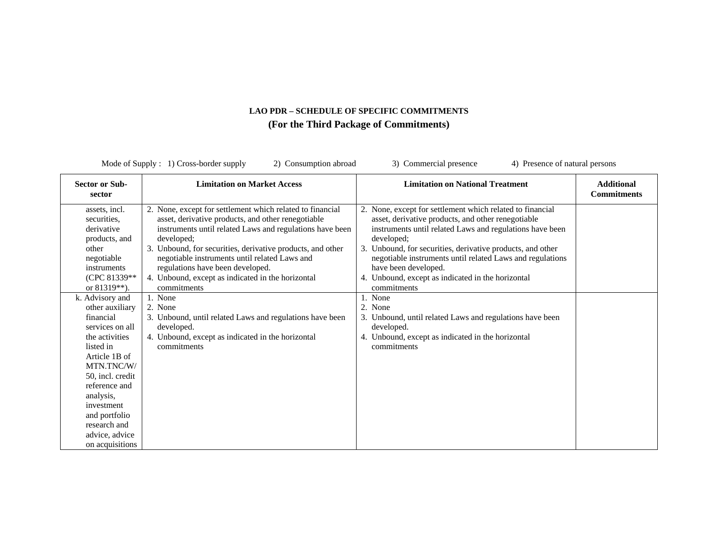| Mode of Supply $: 1)$ Cross-border supply<br>2) Consumption abroad<br>3) Commercial presence<br>4) Presence of natural persons                                                                                                                      |                                                                                                                                                                                                                                                                                                                                                                                                                             |                                                                                                                                                                                                                                                                                                                                                                                                                          |                                         |
|-----------------------------------------------------------------------------------------------------------------------------------------------------------------------------------------------------------------------------------------------------|-----------------------------------------------------------------------------------------------------------------------------------------------------------------------------------------------------------------------------------------------------------------------------------------------------------------------------------------------------------------------------------------------------------------------------|--------------------------------------------------------------------------------------------------------------------------------------------------------------------------------------------------------------------------------------------------------------------------------------------------------------------------------------------------------------------------------------------------------------------------|-----------------------------------------|
| <b>Sector or Sub-</b><br>sector                                                                                                                                                                                                                     | <b>Limitation on Market Access</b>                                                                                                                                                                                                                                                                                                                                                                                          | <b>Limitation on National Treatment</b>                                                                                                                                                                                                                                                                                                                                                                                  | <b>Additional</b><br><b>Commitments</b> |
| assets, incl.<br>securities.<br>derivative<br>products, and<br>other<br>negotiable<br>instruments<br>(CPC 81339**<br>or 81319**).<br>k. Advisory and                                                                                                | 2. None, except for settlement which related to financial<br>asset, derivative products, and other renegotiable<br>instruments until related Laws and regulations have been<br>developed:<br>3. Unbound, for securities, derivative products, and other<br>negotiable instruments until related Laws and<br>regulations have been developed.<br>4. Unbound, except as indicated in the horizontal<br>commitments<br>1. None | 2. None, except for settlement which related to financial<br>asset, derivative products, and other renegotiable<br>instruments until related Laws and regulations have been<br>developed;<br>3. Unbound, for securities, derivative products, and other<br>negotiable instruments until related Laws and regulations<br>have been developed.<br>4. Unbound, except as indicated in the horizontal<br>commitments<br>None |                                         |
| other auxiliary<br>financial<br>services on all<br>the activities<br>listed in<br>Article 1B of<br>MTN.TNC/W/<br>50, incl. credit<br>reference and<br>analysis,<br>investment<br>and portfolio<br>research and<br>advice, advice<br>on acquisitions | 2. None<br>3. Unbound, until related Laws and regulations have been<br>developed.<br>4. Unbound, except as indicated in the horizontal<br>commitments                                                                                                                                                                                                                                                                       | 2. None<br>3. Unbound, until related Laws and regulations have been<br>developed.<br>4. Unbound, except as indicated in the horizontal<br>commitments                                                                                                                                                                                                                                                                    |                                         |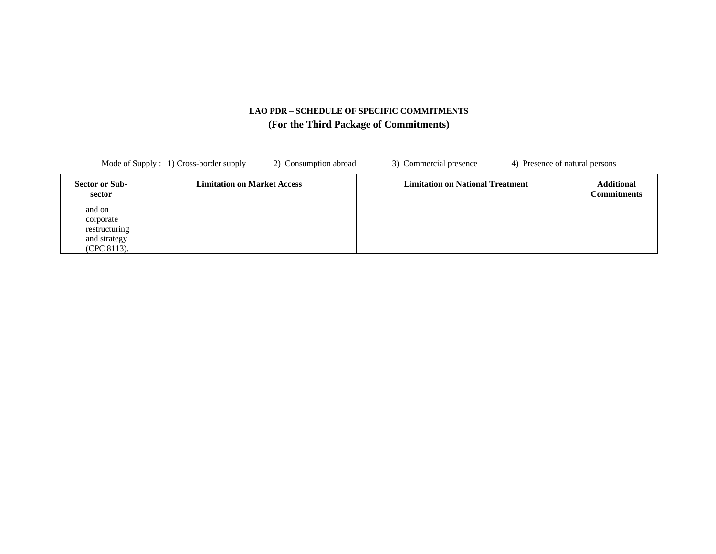| Mode of Supply : 1) Cross-border supply<br>2) Consumption abroad       |                                    | 3) Commercial presence<br>4) Presence of natural persons |                                         |
|------------------------------------------------------------------------|------------------------------------|----------------------------------------------------------|-----------------------------------------|
| <b>Sector or Sub-</b><br>sector                                        | <b>Limitation on Market Access</b> | <b>Limitation on National Treatment</b>                  | <b>Additional</b><br><b>Commitments</b> |
| and on<br>corporate<br>restructuring<br>and strategy<br>$(CPC 8113)$ . |                                    |                                                          |                                         |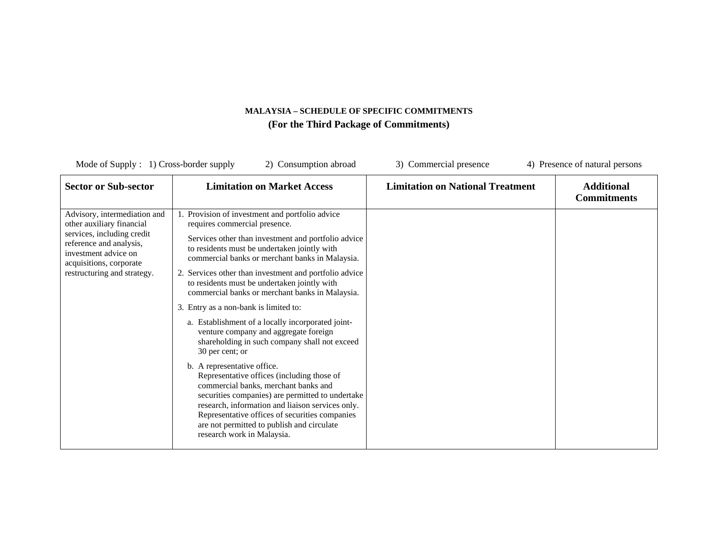| Mode of Supply $: 1)$ Cross-border supply                                                                                                                                                            | 2) Consumption abroad                                                                                                                                                                                                                                                                                                                                                                                                                                                                                                                                                                                                                                                                                                                                                                                                                                                                                                                                                         | 3) Commercial presence                  | 4) Presence of natural persons          |
|------------------------------------------------------------------------------------------------------------------------------------------------------------------------------------------------------|-------------------------------------------------------------------------------------------------------------------------------------------------------------------------------------------------------------------------------------------------------------------------------------------------------------------------------------------------------------------------------------------------------------------------------------------------------------------------------------------------------------------------------------------------------------------------------------------------------------------------------------------------------------------------------------------------------------------------------------------------------------------------------------------------------------------------------------------------------------------------------------------------------------------------------------------------------------------------------|-----------------------------------------|-----------------------------------------|
| <b>Sector or Sub-sector</b>                                                                                                                                                                          | <b>Limitation on Market Access</b>                                                                                                                                                                                                                                                                                                                                                                                                                                                                                                                                                                                                                                                                                                                                                                                                                                                                                                                                            | <b>Limitation on National Treatment</b> | <b>Additional</b><br><b>Commitments</b> |
| Advisory, intermediation and<br>other auxiliary financial<br>services, including credit<br>reference and analysis,<br>investment advice on<br>acquisitions, corporate<br>restructuring and strategy. | 1. Provision of investment and portfolio advice<br>requires commercial presence.<br>Services other than investment and portfolio advice<br>to residents must be undertaken jointly with<br>commercial banks or merchant banks in Malaysia.<br>2. Services other than investment and portfolio advice<br>to residents must be undertaken jointly with<br>commercial banks or merchant banks in Malaysia.<br>3. Entry as a non-bank is limited to:<br>a. Establishment of a locally incorporated joint-<br>venture company and aggregate foreign<br>shareholding in such company shall not exceed<br>30 per cent; or<br>b. A representative office.<br>Representative offices (including those of<br>commercial banks, merchant banks and<br>securities companies) are permitted to undertake<br>research, information and liaison services only.<br>Representative offices of securities companies<br>are not permitted to publish and circulate<br>research work in Malaysia. |                                         |                                         |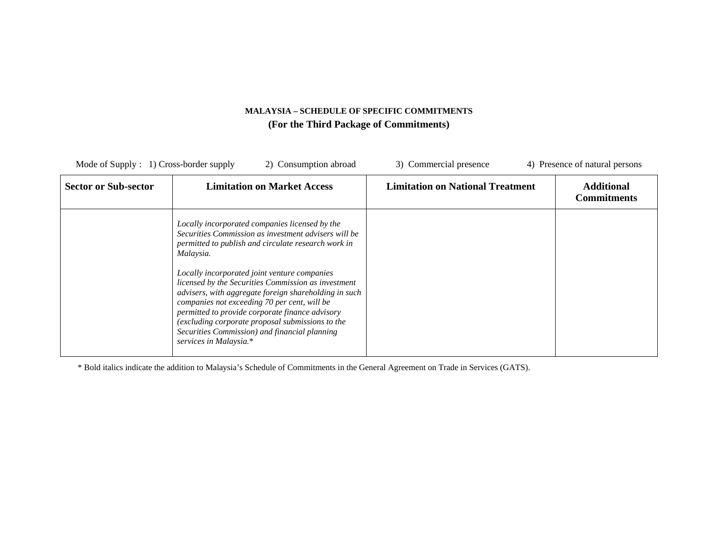| Mode of Supply $: 1)$ Cross-border supply<br>2) Consumption abroad |                                                                                                                                                                                                                                                                                                                                                                                                                                                                                                                                                                              | 3) Commercial presence                  | 4) Presence of natural persons          |
|--------------------------------------------------------------------|------------------------------------------------------------------------------------------------------------------------------------------------------------------------------------------------------------------------------------------------------------------------------------------------------------------------------------------------------------------------------------------------------------------------------------------------------------------------------------------------------------------------------------------------------------------------------|-----------------------------------------|-----------------------------------------|
| <b>Sector or Sub-sector</b>                                        | <b>Limitation on Market Access</b>                                                                                                                                                                                                                                                                                                                                                                                                                                                                                                                                           | <b>Limitation on National Treatment</b> | <b>Additional</b><br><b>Commitments</b> |
|                                                                    | Locally incorporated companies licensed by the<br>Securities Commission as investment advisers will be<br>permitted to publish and circulate research work in<br>Malaysia.<br>Locally incorporated joint venture companies<br>licensed by the Securities Commission as investment<br>advisers, with aggregate foreign shareholding in such<br>companies not exceeding 70 per cent, will be<br>permitted to provide corporate finance advisory<br>(excluding corporate proposal submissions to the<br>Securities Commission) and financial planning<br>services in Malaysia.* |                                         |                                         |

\* Bold italics indicate the addition to Malaysia's Schedule of Commitments in the General Agreement on Trade in Services (GATS).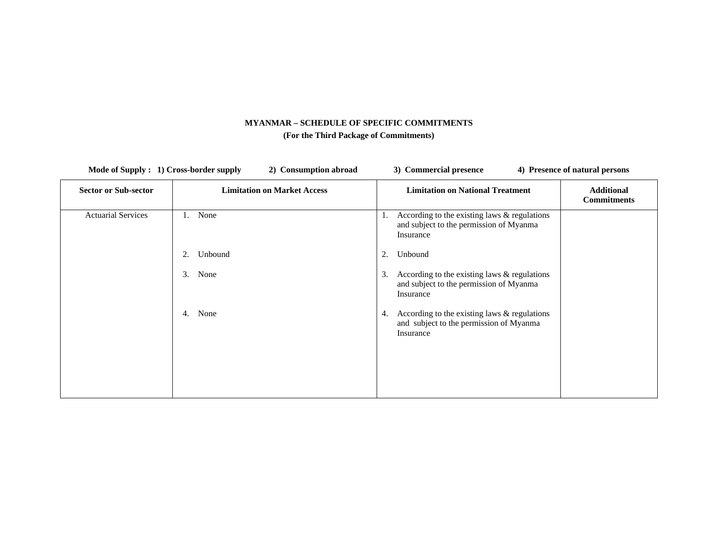| Mode of Supply : 1) Cross-border supply<br>2) Consumption abroad |                                    | 3) Commercial presence                                                                                       | 4) Presence of natural persons          |
|------------------------------------------------------------------|------------------------------------|--------------------------------------------------------------------------------------------------------------|-----------------------------------------|
| <b>Sector or Sub-sector</b>                                      | <b>Limitation on Market Access</b> | <b>Limitation on National Treatment</b>                                                                      | <b>Additional</b><br><b>Commitments</b> |
| <b>Actuarial Services</b>                                        | None<br>1.                         | According to the existing laws & regulations<br>1.<br>and subject to the permission of Myanma<br>Insurance   |                                         |
|                                                                  | Unbound<br>2.                      | Unbound<br>2.                                                                                                |                                         |
|                                                                  | 3.<br>None                         | According to the existing laws $&$ regulations<br>3.<br>and subject to the permission of Myanma<br>Insurance |                                         |
|                                                                  | None<br>4.                         | According to the existing laws $&$ regulations<br>4.<br>and subject to the permission of Myanma<br>Insurance |                                         |
|                                                                  |                                    |                                                                                                              |                                         |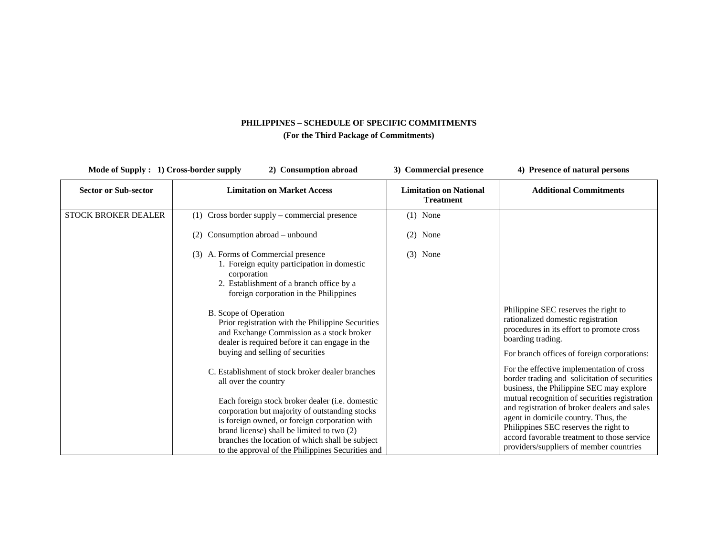| Mode of Supply : 1) Cross-border supply | 2) Consumption abroad                                                                                                                                                                                                                                                                                                                                                                                                                                                                            | 3) Commercial presence                            | 4) Presence of natural persons                                                                                                                                                                                                                                                                                                                                                                                     |  |
|-----------------------------------------|--------------------------------------------------------------------------------------------------------------------------------------------------------------------------------------------------------------------------------------------------------------------------------------------------------------------------------------------------------------------------------------------------------------------------------------------------------------------------------------------------|---------------------------------------------------|--------------------------------------------------------------------------------------------------------------------------------------------------------------------------------------------------------------------------------------------------------------------------------------------------------------------------------------------------------------------------------------------------------------------|--|
| <b>Sector or Sub-sector</b>             | <b>Limitation on Market Access</b>                                                                                                                                                                                                                                                                                                                                                                                                                                                               | <b>Limitation on National</b><br><b>Treatment</b> | <b>Additional Commitments</b>                                                                                                                                                                                                                                                                                                                                                                                      |  |
| <b>STOCK BROKER DEALER</b>              | (1) Cross border supply – commercial presence<br>Consumption abroad - unbound<br>(2)<br>(3) A. Forms of Commercial presence<br>1. Foreign equity participation in domestic<br>corporation<br>2. Establishment of a branch office by a<br>foreign corporation in the Philippines<br>B. Scope of Operation<br>Prior registration with the Philippine Securities<br>and Exchange Commission as a stock broker<br>dealer is required before it can engage in the<br>buying and selling of securities | $(1)$ None<br>None<br>(2)<br>None<br>(3)          | Philippine SEC reserves the right to<br>rationalized domestic registration<br>procedures in its effort to promote cross<br>boarding trading.<br>For branch offices of foreign corporations:                                                                                                                                                                                                                        |  |
|                                         | C. Establishment of stock broker dealer branches<br>all over the country<br>Each foreign stock broker dealer (i.e. domestic<br>corporation but majority of outstanding stocks<br>is foreign owned, or foreign corporation with<br>brand license) shall be limited to two (2)<br>branches the location of which shall be subject<br>to the approval of the Philippines Securities and                                                                                                             |                                                   | For the effective implementation of cross<br>border trading and solicitation of securities<br>business, the Philippine SEC may explore<br>mutual recognition of securities registration<br>and registration of broker dealers and sales<br>agent in domicile country. Thus, the<br>Philippines SEC reserves the right to<br>accord favorable treatment to those service<br>providers/suppliers of member countries |  |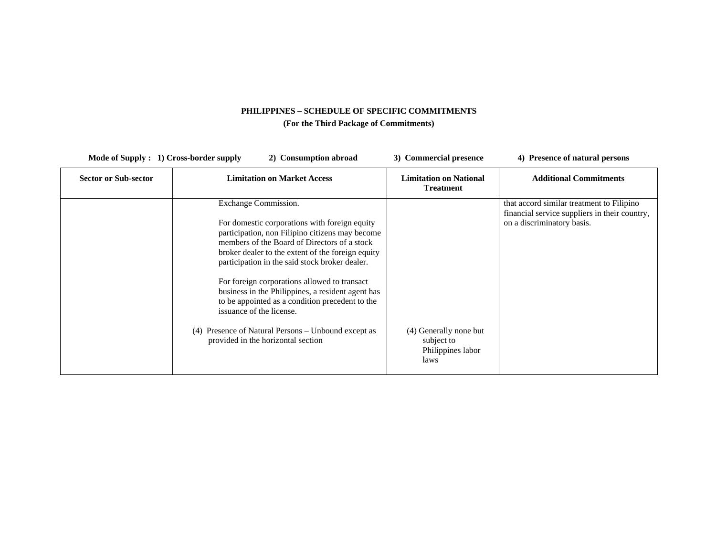| Mode of Supply : 1) Cross-border supply | <b>Consumption abroad</b>                                                                                                                                                                                                                                                                                                                                                                                                                                           | 3) Commercial presence                                            | 4) Presence of natural persons                                                                                           |
|-----------------------------------------|---------------------------------------------------------------------------------------------------------------------------------------------------------------------------------------------------------------------------------------------------------------------------------------------------------------------------------------------------------------------------------------------------------------------------------------------------------------------|-------------------------------------------------------------------|--------------------------------------------------------------------------------------------------------------------------|
| <b>Sector or Sub-sector</b>             | <b>Limitation on Market Access</b>                                                                                                                                                                                                                                                                                                                                                                                                                                  | <b>Limitation on National</b><br><b>Treatment</b>                 | <b>Additional Commitments</b>                                                                                            |
|                                         | Exchange Commission.<br>For domestic corporations with foreign equity<br>participation, non Filipino citizens may become<br>members of the Board of Directors of a stock<br>broker dealer to the extent of the foreign equity<br>participation in the said stock broker dealer.<br>For foreign corporations allowed to transact<br>business in the Philippines, a resident agent has<br>to be appointed as a condition precedent to the<br>issuance of the license. |                                                                   | that accord similar treatment to Filipino<br>financial service suppliers in their country,<br>on a discriminatory basis. |
|                                         | (4) Presence of Natural Persons – Unbound except as<br>provided in the horizontal section                                                                                                                                                                                                                                                                                                                                                                           | (4) Generally none but<br>subject to<br>Philippines labor<br>laws |                                                                                                                          |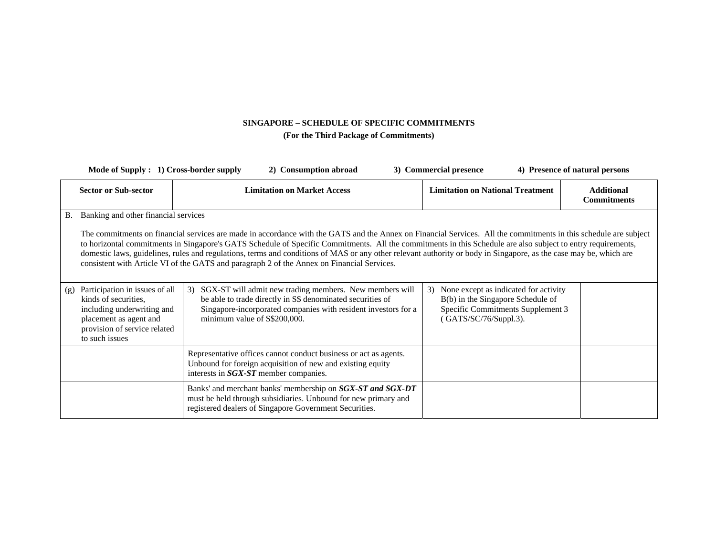| Mode of Supply : 1) Cross-border supply                                                                                                                                 | 2) Consumption abroad                                                                                                                                                                                                                                                                                                                                                                                                                                                                                                                                                                               | 4) Presence of natural persons<br>3) Commercial presence                                                                                       |                                         |
|-------------------------------------------------------------------------------------------------------------------------------------------------------------------------|-----------------------------------------------------------------------------------------------------------------------------------------------------------------------------------------------------------------------------------------------------------------------------------------------------------------------------------------------------------------------------------------------------------------------------------------------------------------------------------------------------------------------------------------------------------------------------------------------------|------------------------------------------------------------------------------------------------------------------------------------------------|-----------------------------------------|
| <b>Sector or Sub-sector</b>                                                                                                                                             | <b>Limitation on Market Access</b>                                                                                                                                                                                                                                                                                                                                                                                                                                                                                                                                                                  | <b>Limitation on National Treatment</b>                                                                                                        | <b>Additional</b><br><b>Commitments</b> |
| Banking and other financial services<br><b>B.</b>                                                                                                                       |                                                                                                                                                                                                                                                                                                                                                                                                                                                                                                                                                                                                     |                                                                                                                                                |                                         |
|                                                                                                                                                                         | The commitments on financial services are made in accordance with the GATS and the Annex on Financial Services. All the commitments in this schedule are subject<br>to horizontal commitments in Singapore's GATS Schedule of Specific Commitments. All the commitments in this Schedule are also subject to entry requirements,<br>domestic laws, guidelines, rules and regulations, terms and conditions of MAS or any other relevant authority or body in Singapore, as the case may be, which are<br>consistent with Article VI of the GATS and paragraph 2 of the Annex on Financial Services. |                                                                                                                                                |                                         |
| Participation in issues of all<br>(g)<br>kinds of securities,<br>including underwriting and<br>placement as agent and<br>provision of service related<br>to such issues | SGX-ST will admit new trading members. New members will<br>3)<br>be able to trade directly in S\$ denominated securities of<br>Singapore-incorporated companies with resident investors for a<br>minimum value of S\$200,000.                                                                                                                                                                                                                                                                                                                                                                       | None except as indicated for activity<br>3)<br>B(b) in the Singapore Schedule of<br>Specific Commitments Supplement 3<br>(GATS/SC/76/Suppl.3). |                                         |
|                                                                                                                                                                         | Representative offices cannot conduct business or act as agents.<br>Unbound for foreign acquisition of new and existing equity<br>interests in SGX-ST member companies.                                                                                                                                                                                                                                                                                                                                                                                                                             |                                                                                                                                                |                                         |
|                                                                                                                                                                         | Banks' and merchant banks' membership on SGX-ST and SGX-DT<br>must be held through subsidiaries. Unbound for new primary and<br>registered dealers of Singapore Government Securities.                                                                                                                                                                                                                                                                                                                                                                                                              |                                                                                                                                                |                                         |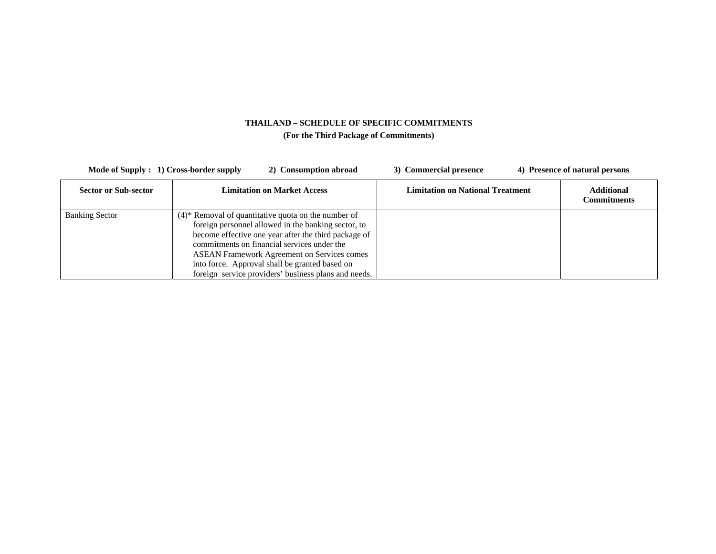| Mode of Supply : 1) Cross-border supply | 2) Consumption abroad                                                                                                                                                                                                                                                                                                                                                                           | 3) Commercial presence                  | 4) Presence of natural persons          |
|-----------------------------------------|-------------------------------------------------------------------------------------------------------------------------------------------------------------------------------------------------------------------------------------------------------------------------------------------------------------------------------------------------------------------------------------------------|-----------------------------------------|-----------------------------------------|
| <b>Sector or Sub-sector</b>             | <b>Limitation on Market Access</b>                                                                                                                                                                                                                                                                                                                                                              | <b>Limitation on National Treatment</b> | <b>Additional</b><br><b>Commitments</b> |
| <b>Banking Sector</b>                   | $(4)$ <sup>*</sup> Removal of quantitative quota on the number of<br>foreign personnel allowed in the banking sector, to<br>become effective one year after the third package of<br>commitments on financial services under the<br><b>ASEAN Framework Agreement on Services comes</b><br>into force. Approval shall be granted based on<br>foreign service providers' business plans and needs. |                                         |                                         |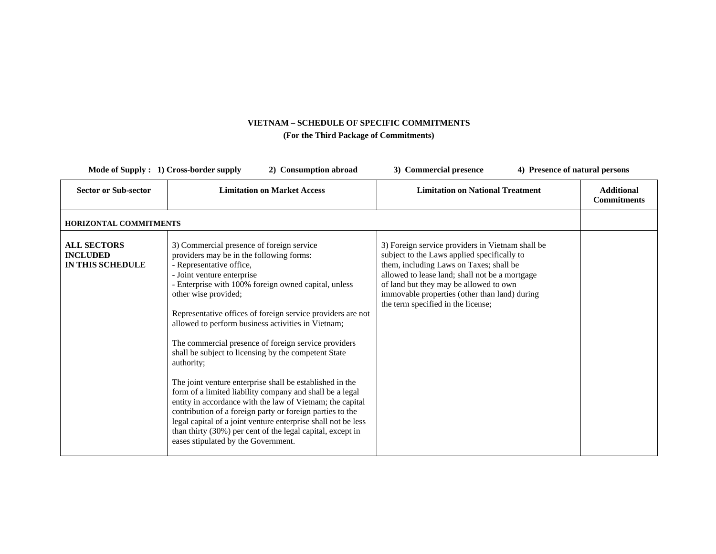| Mode of Supply : 1) Cross-border supply<br>2) Consumption abroad |                                                                                                                                                                                                                                                                                                                                                                                                                                                                                                                                                                                                                                                                                                                                                                                                                                                                                                            | 4) Presence of natural persons<br>3) Commercial presence                                                                                                                                                                                                                                                                      |                                         |  |  |  |
|------------------------------------------------------------------|------------------------------------------------------------------------------------------------------------------------------------------------------------------------------------------------------------------------------------------------------------------------------------------------------------------------------------------------------------------------------------------------------------------------------------------------------------------------------------------------------------------------------------------------------------------------------------------------------------------------------------------------------------------------------------------------------------------------------------------------------------------------------------------------------------------------------------------------------------------------------------------------------------|-------------------------------------------------------------------------------------------------------------------------------------------------------------------------------------------------------------------------------------------------------------------------------------------------------------------------------|-----------------------------------------|--|--|--|
| <b>Sector or Sub-sector</b>                                      | <b>Limitation on Market Access</b>                                                                                                                                                                                                                                                                                                                                                                                                                                                                                                                                                                                                                                                                                                                                                                                                                                                                         | <b>Limitation on National Treatment</b>                                                                                                                                                                                                                                                                                       | <b>Additional</b><br><b>Commitments</b> |  |  |  |
| HORIZONTAL COMMITMENTS                                           |                                                                                                                                                                                                                                                                                                                                                                                                                                                                                                                                                                                                                                                                                                                                                                                                                                                                                                            |                                                                                                                                                                                                                                                                                                                               |                                         |  |  |  |
| <b>ALL SECTORS</b><br><b>INCLUDED</b><br>IN THIS SCHEDULE        | 3) Commercial presence of foreign service<br>providers may be in the following forms:<br>- Representative office,<br>- Joint venture enterprise<br>- Enterprise with 100% foreign owned capital, unless<br>other wise provided;<br>Representative offices of foreign service providers are not<br>allowed to perform business activities in Vietnam;<br>The commercial presence of foreign service providers<br>shall be subject to licensing by the competent State<br>authority;<br>The joint venture enterprise shall be established in the<br>form of a limited liability company and shall be a legal<br>entity in accordance with the law of Vietnam; the capital<br>contribution of a foreign party or foreign parties to the<br>legal capital of a joint venture enterprise shall not be less<br>than thirty (30%) per cent of the legal capital, except in<br>eases stipulated by the Government. | 3) Foreign service providers in Vietnam shall be<br>subject to the Laws applied specifically to<br>them, including Laws on Taxes; shall be<br>allowed to lease land; shall not be a mortgage<br>of land but they may be allowed to own<br>immovable properties (other than land) during<br>the term specified in the license; |                                         |  |  |  |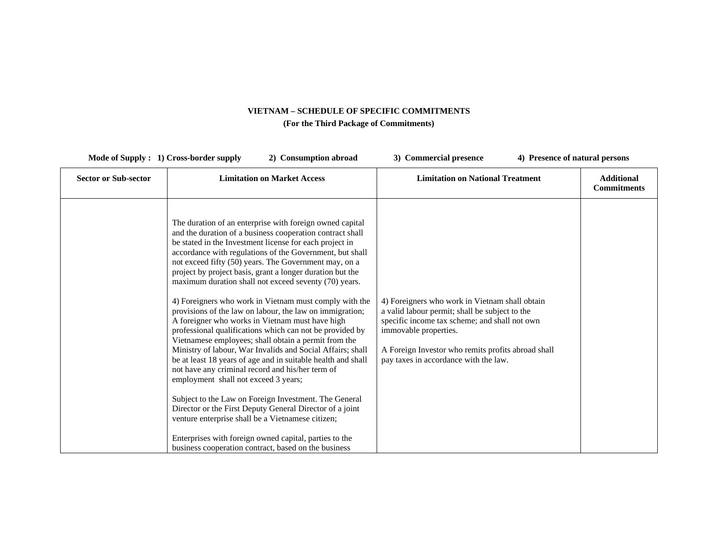| Mode of Supply : 1) Cross-border supply | 2) Consumption abroad                                                                                                                                                                                                                                                                                                                                                                                                                                                                                                                                                                                                                                                                                                                                                                                                                                                                                                                                                                                                                                                                                                                                                                                                                          | 3) Commercial presence<br>4) Presence of natural persons                                                                                                                                                                                                                  |                                         |
|-----------------------------------------|------------------------------------------------------------------------------------------------------------------------------------------------------------------------------------------------------------------------------------------------------------------------------------------------------------------------------------------------------------------------------------------------------------------------------------------------------------------------------------------------------------------------------------------------------------------------------------------------------------------------------------------------------------------------------------------------------------------------------------------------------------------------------------------------------------------------------------------------------------------------------------------------------------------------------------------------------------------------------------------------------------------------------------------------------------------------------------------------------------------------------------------------------------------------------------------------------------------------------------------------|---------------------------------------------------------------------------------------------------------------------------------------------------------------------------------------------------------------------------------------------------------------------------|-----------------------------------------|
| <b>Sector or Sub-sector</b>             | <b>Limitation on Market Access</b>                                                                                                                                                                                                                                                                                                                                                                                                                                                                                                                                                                                                                                                                                                                                                                                                                                                                                                                                                                                                                                                                                                                                                                                                             | <b>Limitation on National Treatment</b>                                                                                                                                                                                                                                   | <b>Additional</b><br><b>Commitments</b> |
|                                         | The duration of an enterprise with foreign owned capital<br>and the duration of a business cooperation contract shall<br>be stated in the Investment license for each project in<br>accordance with regulations of the Government, but shall<br>not exceed fifty (50) years. The Government may, on a<br>project by project basis, grant a longer duration but the<br>maximum duration shall not exceed seventy (70) years.<br>4) Foreigners who work in Vietnam must comply with the<br>provisions of the law on labour, the law on immigration;<br>A foreigner who works in Vietnam must have high<br>professional qualifications which can not be provided by<br>Vietnamese employees; shall obtain a permit from the<br>Ministry of labour, War Invalids and Social Affairs; shall<br>be at least 18 years of age and in suitable health and shall<br>not have any criminal record and his/her term of<br>employment shall not exceed 3 years;<br>Subject to the Law on Foreign Investment. The General<br>Director or the First Deputy General Director of a joint<br>venture enterprise shall be a Vietnamese citizen;<br>Enterprises with foreign owned capital, parties to the<br>business cooperation contract, based on the business | 4) Foreigners who work in Vietnam shall obtain<br>a valid labour permit; shall be subject to the<br>specific income tax scheme; and shall not own<br>immovable properties.<br>A Foreign Investor who remits profits abroad shall<br>pay taxes in accordance with the law. |                                         |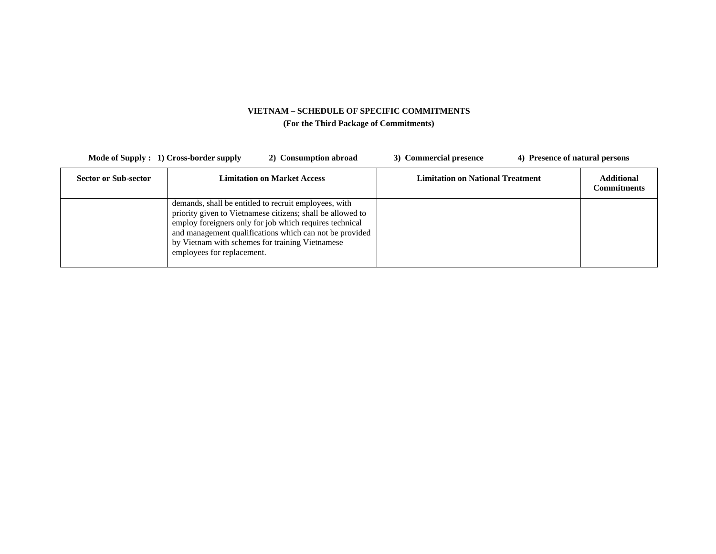| Mode of Supply : 1) Cross-border supply | 2) Consumption abroad                                                                                                                                                                                                                                                                                                      | 3) Commercial presence                  | 4) Presence of natural persons   |
|-----------------------------------------|----------------------------------------------------------------------------------------------------------------------------------------------------------------------------------------------------------------------------------------------------------------------------------------------------------------------------|-----------------------------------------|----------------------------------|
| <b>Sector or Sub-sector</b>             | <b>Limitation on Market Access</b>                                                                                                                                                                                                                                                                                         | <b>Limitation on National Treatment</b> | <b>Additional</b><br>Commitments |
|                                         | demands, shall be entitled to recruit employees, with<br>priority given to Vietnamese citizens; shall be allowed to<br>employ foreigners only for job which requires technical<br>and management qualifications which can not be provided<br>by Vietnam with schemes for training Vietnamese<br>employees for replacement. |                                         |                                  |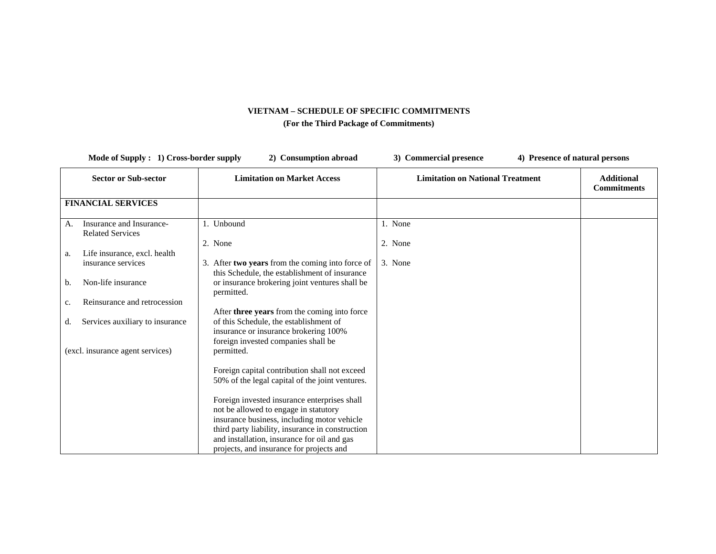| Mode of Supply : 1) Cross-border supply |                                                     | 2) Consumption abroad                                                                                                                                                                      | 3) Commercial presence                  | 4) Presence of natural persons          |  |
|-----------------------------------------|-----------------------------------------------------|--------------------------------------------------------------------------------------------------------------------------------------------------------------------------------------------|-----------------------------------------|-----------------------------------------|--|
|                                         | <b>Sector or Sub-sector</b>                         | <b>Limitation on Market Access</b>                                                                                                                                                         | <b>Limitation on National Treatment</b> | <b>Additional</b><br><b>Commitments</b> |  |
|                                         | <b>FINANCIAL SERVICES</b>                           |                                                                                                                                                                                            |                                         |                                         |  |
| A.                                      | Insurance and Insurance-<br><b>Related Services</b> | 1. Unbound                                                                                                                                                                                 | 1. None                                 |                                         |  |
| а.                                      | Life insurance, excl. health<br>insurance services  | 2. None<br>3. After two years from the coming into force of                                                                                                                                | 2. None<br>3. None                      |                                         |  |
| b.                                      | Non-life insurance                                  | this Schedule, the establishment of insurance<br>or insurance brokering joint ventures shall be<br>permitted.                                                                              |                                         |                                         |  |
| c.                                      | Reinsurance and retrocession                        | After three years from the coming into force                                                                                                                                               |                                         |                                         |  |
| d.                                      | Services auxiliary to insurance                     | of this Schedule, the establishment of<br>insurance or insurance brokering 100%<br>foreign invested companies shall be                                                                     |                                         |                                         |  |
|                                         | (excl. insurance agent services)                    | permitted.                                                                                                                                                                                 |                                         |                                         |  |
|                                         |                                                     | Foreign capital contribution shall not exceed<br>50% of the legal capital of the joint ventures.                                                                                           |                                         |                                         |  |
|                                         |                                                     | Foreign invested insurance enterprises shall<br>not be allowed to engage in statutory                                                                                                      |                                         |                                         |  |
|                                         |                                                     | insurance business, including motor vehicle<br>third party liability, insurance in construction<br>and installation, insurance for oil and gas<br>projects, and insurance for projects and |                                         |                                         |  |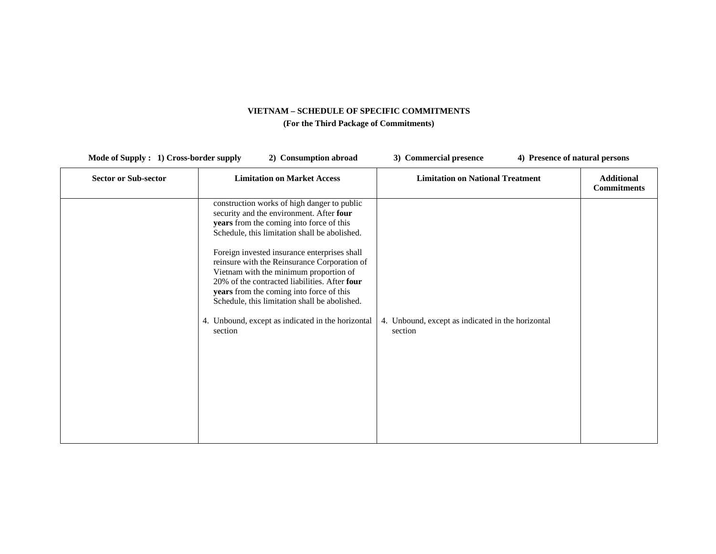| <b>Sector or Sub-sector</b> | <b>Limitation on Market Access</b>                                                                                                                                                                                                                                                                                                                                                                                                                                                                                                           | <b>Limitation on National Treatment</b>                      | <b>Additional</b><br><b>Commitments</b> |
|-----------------------------|----------------------------------------------------------------------------------------------------------------------------------------------------------------------------------------------------------------------------------------------------------------------------------------------------------------------------------------------------------------------------------------------------------------------------------------------------------------------------------------------------------------------------------------------|--------------------------------------------------------------|-----------------------------------------|
|                             | construction works of high danger to public<br>security and the environment. After four<br>years from the coming into force of this<br>Schedule, this limitation shall be abolished.<br>Foreign invested insurance enterprises shall<br>reinsure with the Reinsurance Corporation of<br>Vietnam with the minimum proportion of<br>20% of the contracted liabilities. After four<br>years from the coming into force of this<br>Schedule, this limitation shall be abolished.<br>4. Unbound, except as indicated in the horizontal<br>section | 4. Unbound, except as indicated in the horizontal<br>section |                                         |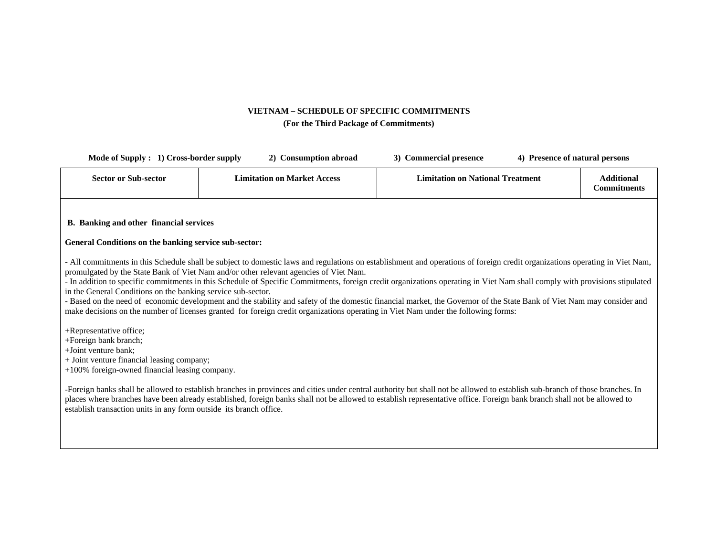| Mode of Supply : 1) Cross-border supply                                                                                                                                     | 2) Consumption abroad                                                                                                                                                                                                                                                                                                                                                                                                                                                                                                                                                                                                                                                                                                                                              | 3) Commercial presence                  | 4) Presence of natural persons |                                         |
|-----------------------------------------------------------------------------------------------------------------------------------------------------------------------------|--------------------------------------------------------------------------------------------------------------------------------------------------------------------------------------------------------------------------------------------------------------------------------------------------------------------------------------------------------------------------------------------------------------------------------------------------------------------------------------------------------------------------------------------------------------------------------------------------------------------------------------------------------------------------------------------------------------------------------------------------------------------|-----------------------------------------|--------------------------------|-----------------------------------------|
| <b>Sector or Sub-sector</b>                                                                                                                                                 | <b>Limitation on Market Access</b>                                                                                                                                                                                                                                                                                                                                                                                                                                                                                                                                                                                                                                                                                                                                 | <b>Limitation on National Treatment</b> |                                | <b>Additional</b><br><b>Commitments</b> |
| B. Banking and other financial services<br>General Conditions on the banking service sub-sector:                                                                            |                                                                                                                                                                                                                                                                                                                                                                                                                                                                                                                                                                                                                                                                                                                                                                    |                                         |                                |                                         |
| in the General Conditions on the banking service sub-sector.                                                                                                                | - All commitments in this Schedule shall be subject to domestic laws and regulations on establishment and operations of foreign credit organizations operating in Viet Nam,<br>promulgated by the State Bank of Viet Nam and/or other relevant agencies of Viet Nam.<br>- In addition to specific commitments in this Schedule of Specific Commitments, foreign credit organizations operating in Viet Nam shall comply with provisions stipulated<br>- Based on the need of economic development and the stability and safety of the domestic financial market, the Governor of the State Bank of Viet Nam may consider and<br>make decisions on the number of licenses granted for foreign credit organizations operating in Viet Nam under the following forms: |                                         |                                |                                         |
| +Representative office;<br>+Foreign bank branch;<br>+Joint venture bank;<br>+ Joint venture financial leasing company;<br>$+100\%$ foreign-owned financial leasing company. |                                                                                                                                                                                                                                                                                                                                                                                                                                                                                                                                                                                                                                                                                                                                                                    |                                         |                                |                                         |
| establish transaction units in any form outside its branch office.                                                                                                          | -Foreign banks shall be allowed to establish branches in provinces and cities under central authority but shall not be allowed to establish sub-branch of those branches. In<br>places where branches have been already established, foreign banks shall not be allowed to establish representative office. Foreign bank branch shall not be allowed to                                                                                                                                                                                                                                                                                                                                                                                                            |                                         |                                |                                         |
|                                                                                                                                                                             |                                                                                                                                                                                                                                                                                                                                                                                                                                                                                                                                                                                                                                                                                                                                                                    |                                         |                                |                                         |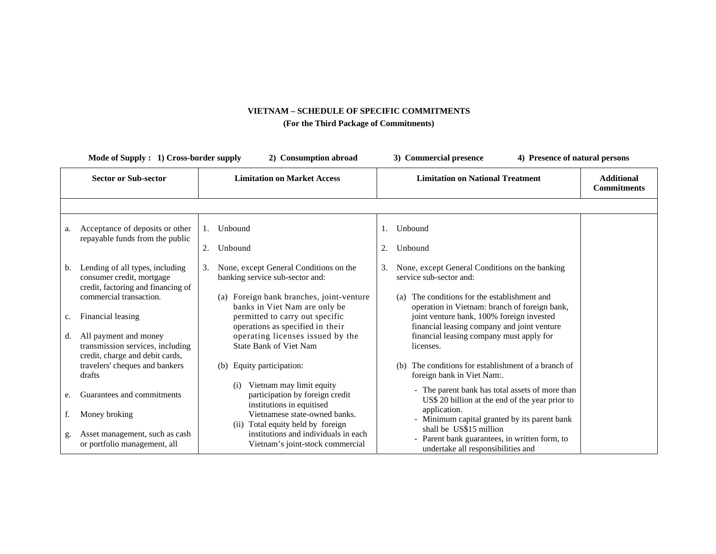| Mode of Supply: 1) Cross-border supply |                                                                                                    | 2) Consumption abroad |                                                                                                                                                  | 3) Commercial presence | 4) Presence of natural persons                                                                                                                                                               |                                         |
|----------------------------------------|----------------------------------------------------------------------------------------------------|-----------------------|--------------------------------------------------------------------------------------------------------------------------------------------------|------------------------|----------------------------------------------------------------------------------------------------------------------------------------------------------------------------------------------|-----------------------------------------|
|                                        | <b>Sector or Sub-sector</b>                                                                        |                       | <b>Limitation on Market Access</b>                                                                                                               |                        | <b>Limitation on National Treatment</b>                                                                                                                                                      | <b>Additional</b><br><b>Commitments</b> |
|                                        |                                                                                                    |                       |                                                                                                                                                  |                        |                                                                                                                                                                                              |                                         |
| a.                                     | Acceptance of deposits or other<br>repayable funds from the public                                 | 1.                    | Unbound                                                                                                                                          |                        | Unbound                                                                                                                                                                                      |                                         |
|                                        |                                                                                                    | 2.                    | Unbound                                                                                                                                          | 2.                     | Unbound                                                                                                                                                                                      |                                         |
| b.                                     | Lending of all types, including<br>consumer credit, mortgage<br>credit, factoring and financing of | 3.                    | None, except General Conditions on the<br>banking service sub-sector and:                                                                        | 3.                     | None, except General Conditions on the banking<br>service sub-sector and:                                                                                                                    |                                         |
| c.                                     | commercial transaction.<br>Financial leasing                                                       |                       | (a) Foreign bank branches, joint-venture<br>banks in Viet Nam are only be<br>permitted to carry out specific<br>operations as specified in their |                        | The conditions for the establishment and<br>(a)<br>operation in Vietnam: branch of foreign bank,<br>joint venture bank, 100% foreign invested<br>financial leasing company and joint venture |                                         |
|                                        | d. All payment and money<br>transmission services, including<br>credit, charge and debit cards,    |                       | operating licenses issued by the<br><b>State Bank of Viet Nam</b>                                                                                |                        | financial leasing company must apply for<br>licenses.                                                                                                                                        |                                         |
|                                        | travelers' cheques and bankers<br>drafts                                                           |                       | Equity participation:<br>(b)                                                                                                                     |                        | The conditions for establishment of a branch of<br>(b)<br>foreign bank in Viet Nam:.                                                                                                         |                                         |
| e.                                     | Guarantees and commitments                                                                         |                       | Vietnam may limit equity<br>(i)<br>participation by foreign credit<br>institutions in equitised                                                  |                        | - The parent bank has total assets of more than<br>US\$ 20 billion at the end of the year prior to                                                                                           |                                         |
|                                        | Money broking                                                                                      |                       | Vietnamese state-owned banks.<br>(ii) Total equity held by foreign                                                                               |                        | application.<br>- Minimum capital granted by its parent bank                                                                                                                                 |                                         |
| g.                                     | Asset management, such as cash<br>or portfolio management, all                                     |                       | institutions and individuals in each<br>Vietnam's joint-stock commercial                                                                         |                        | shall be US\$15 million<br>- Parent bank guarantees, in written form, to<br>undertake all responsibilities and                                                                               |                                         |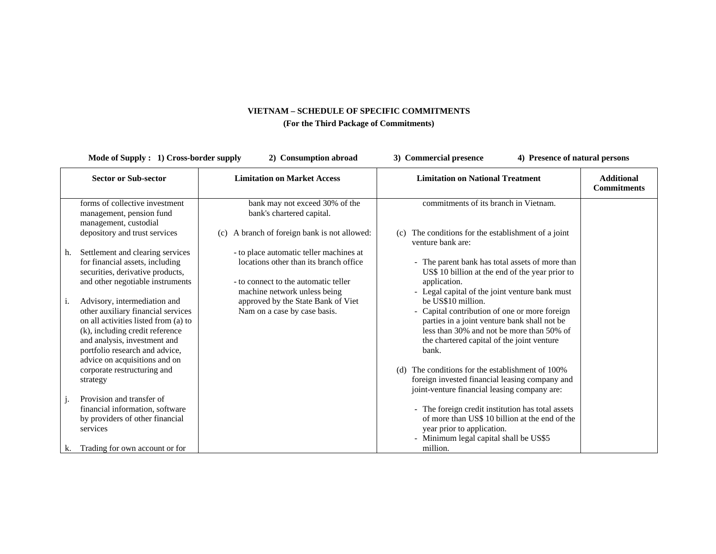| Mode of Supply : 1) Cross-border supply<br>2) Consumption abroad |                                                                                                                                                                                                                                                                                             |                                                                                                                                                            | 3) Commercial presence<br>4) Presence of natural persons                                                                                                                                                                                                                                                                                                                         |                                         |  |
|------------------------------------------------------------------|---------------------------------------------------------------------------------------------------------------------------------------------------------------------------------------------------------------------------------------------------------------------------------------------|------------------------------------------------------------------------------------------------------------------------------------------------------------|----------------------------------------------------------------------------------------------------------------------------------------------------------------------------------------------------------------------------------------------------------------------------------------------------------------------------------------------------------------------------------|-----------------------------------------|--|
|                                                                  | <b>Sector or Sub-sector</b>                                                                                                                                                                                                                                                                 | <b>Limitation on Market Access</b>                                                                                                                         | <b>Limitation on National Treatment</b>                                                                                                                                                                                                                                                                                                                                          | <b>Additional</b><br><b>Commitments</b> |  |
|                                                                  | forms of collective investment<br>management, pension fund<br>management, custodial                                                                                                                                                                                                         | bank may not exceed 30% of the<br>bank's chartered capital.                                                                                                | commitments of its branch in Vietnam.                                                                                                                                                                                                                                                                                                                                            |                                         |  |
|                                                                  | depository and trust services                                                                                                                                                                                                                                                               | (c) A branch of foreign bank is not allowed:                                                                                                               | The conditions for the establishment of a joint<br>(c)<br>venture bank are:                                                                                                                                                                                                                                                                                                      |                                         |  |
| h.                                                               | Settlement and clearing services<br>for financial assets, including<br>securities, derivative products,<br>and other negotiable instruments                                                                                                                                                 | - to place automatic teller machines at<br>locations other than its branch office.<br>- to connect to the automatic teller<br>machine network unless being | - The parent bank has total assets of more than<br>US\$ 10 billion at the end of the year prior to<br>application.<br>- Legal capital of the joint venture bank must                                                                                                                                                                                                             |                                         |  |
| i.                                                               | Advisory, intermediation and<br>other auxiliary financial services<br>on all activities listed from (a) to<br>(k), including credit reference<br>and analysis, investment and<br>portfolio research and advice,<br>advice on acquisitions and on<br>corporate restructuring and<br>strategy | approved by the State Bank of Viet<br>Nam on a case by case basis.                                                                                         | be US\$10 million.<br>- Capital contribution of one or more foreign<br>parties in a joint venture bank shall not be<br>less than 30% and not be more than 50% of<br>the chartered capital of the joint venture<br>bank.<br>The conditions for the establishment of 100%<br>(d)<br>foreign invested financial leasing company and<br>joint-venture financial leasing company are: |                                         |  |
| j.                                                               | Provision and transfer of<br>financial information, software<br>by providers of other financial<br>services                                                                                                                                                                                 |                                                                                                                                                            | - The foreign credit institution has total assets<br>of more than US\$ 10 billion at the end of the<br>year prior to application.<br>- Minimum legal capital shall be US\$5                                                                                                                                                                                                      |                                         |  |
| k.                                                               | Trading for own account or for                                                                                                                                                                                                                                                              |                                                                                                                                                            | million.                                                                                                                                                                                                                                                                                                                                                                         |                                         |  |